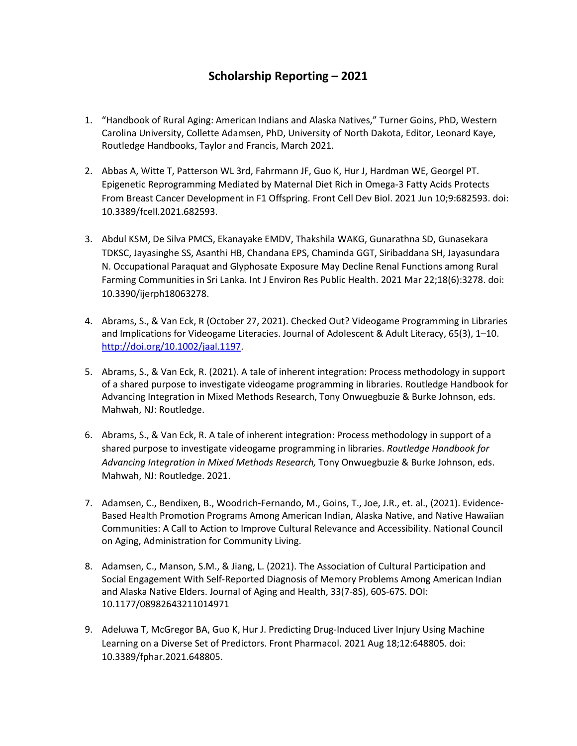## **Scholarship Reporting – 2021**

- 1. "Handbook of Rural Aging: American Indians and Alaska Natives," Turner Goins, PhD, Western Carolina University, Collette Adamsen, PhD, University of North Dakota, Editor, Leonard Kaye, Routledge Handbooks, Taylor and Francis, March 2021.
- 2. Abbas A, Witte T, Patterson WL 3rd, Fahrmann JF, Guo K, Hur J, Hardman WE, Georgel PT. Epigenetic Reprogramming Mediated by Maternal Diet Rich in Omega-3 Fatty Acids Protects From Breast Cancer Development in F1 Offspring. Front Cell Dev Biol. 2021 Jun 10;9:682593. doi: 10.3389/fcell.2021.682593.
- 3. Abdul KSM, De Silva PMCS, Ekanayake EMDV, Thakshila WAKG, Gunarathna SD, Gunasekara TDKSC, Jayasinghe SS, Asanthi HB, Chandana EPS, Chaminda GGT, Siribaddana SH, Jayasundara N. Occupational Paraquat and Glyphosate Exposure May Decline Renal Functions among Rural Farming Communities in Sri Lanka. Int J Environ Res Public Health. 2021 Mar 22;18(6):3278. doi: 10.3390/ijerph18063278.
- 4. Abrams, S., & Van Eck, R (October 27, 2021). Checked Out? Videogame Programming in Libraries and Implications for Videogame Literacies. Journal of Adolescent & Adult Literacy, 65(3), 1–10. [http://doi.org/10.1002/jaal.1197.](http://doi.org/10.1002/jaal.1197)
- 5. Abrams, S., & Van Eck, R. (2021). A tale of inherent integration: Process methodology in support of a shared purpose to investigate videogame programming in libraries. Routledge Handbook for Advancing Integration in Mixed Methods Research, Tony Onwuegbuzie & Burke Johnson, eds. Mahwah, NJ: Routledge.
- 6. Abrams, S., & Van Eck, R. A tale of inherent integration: Process methodology in support of a shared purpose to investigate videogame programming in libraries. *Routledge Handbook for Advancing Integration in Mixed Methods Research,* Tony Onwuegbuzie & Burke Johnson, eds. Mahwah, NJ: Routledge. 2021.
- 7. Adamsen, C., Bendixen, B., Woodrich-Fernando, M., Goins, T., Joe, J.R., et. al., (2021). Evidence-Based Health Promotion Programs Among American Indian, Alaska Native, and Native Hawaiian Communities: A Call to Action to Improve Cultural Relevance and Accessibility. National Council on Aging, Administration for Community Living.
- 8. Adamsen, C., Manson, S.M., & Jiang, L. (2021). The Association of Cultural Participation and Social Engagement With Self-Reported Diagnosis of Memory Problems Among American Indian and Alaska Native Elders. Journal of Aging and Health, 33(7-8S), 60S-67S. DOI: 10.1177/08982643211014971
- 9. Adeluwa T, McGregor BA, Guo K, Hur J. Predicting Drug-Induced Liver Injury Using Machine Learning on a Diverse Set of Predictors. Front Pharmacol. 2021 Aug 18;12:648805. doi: 10.3389/fphar.2021.648805.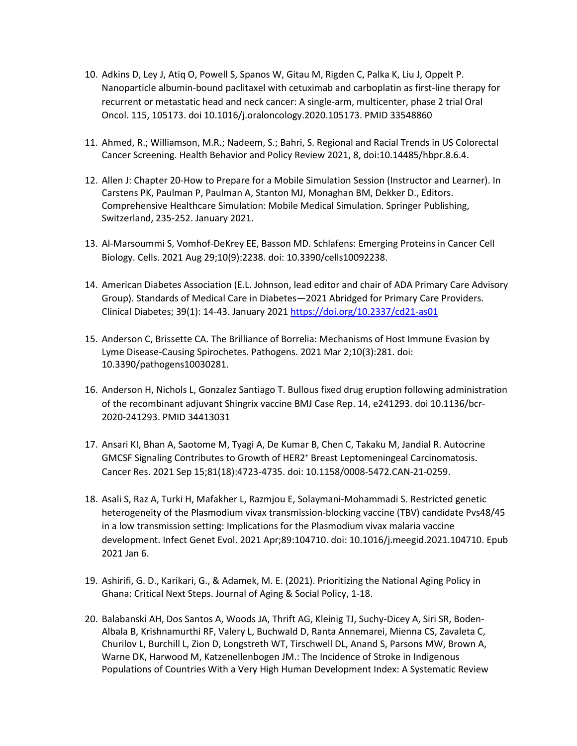- 10. Adkins D, Ley J, Atiq O, Powell S, Spanos W, Gitau M, Rigden C, Palka K, Liu J, Oppelt P. Nanoparticle albumin-bound paclitaxel with cetuximab and carboplatin as first-line therapy for recurrent or metastatic head and neck cancer: A single-arm, multicenter, phase 2 trial Oral Oncol. 115, 105173. doi 10.1016/j.oraloncology.2020.105173. PMID 33548860
- 11. Ahmed, R.; Williamson, M.R.; Nadeem, S.; Bahri, S. Regional and Racial Trends in US Colorectal Cancer Screening. Health Behavior and Policy Review 2021, 8, doi:10.14485/hbpr.8.6.4.
- 12. Allen J: Chapter 20-How to Prepare for a Mobile Simulation Session (Instructor and Learner). In Carstens PK, Paulman P, Paulman A, Stanton MJ, Monaghan BM, Dekker D., Editors. Comprehensive Healthcare Simulation: Mobile Medical Simulation. Springer Publishing, Switzerland, 235-252. January 2021.
- 13. Al-Marsoummi S, Vomhof-DeKrey EE, Basson MD. Schlafens: Emerging Proteins in Cancer Cell Biology. Cells. 2021 Aug 29;10(9):2238. doi: 10.3390/cells10092238.
- 14. American Diabetes Association (E.L. Johnson, lead editor and chair of ADA Primary Care Advisory Group). Standards of Medical Care in Diabetes—2021 Abridged for Primary Care Providers. Clinical Diabetes; 39(1): 14-43. January 2021<https://doi.org/10.2337/cd21-as01>
- 15. Anderson C, Brissette CA. The Brilliance of Borrelia: Mechanisms of Host Immune Evasion by Lyme Disease-Causing Spirochetes. Pathogens. 2021 Mar 2;10(3):281. doi: 10.3390/pathogens10030281.
- 16. Anderson H, Nichols L, Gonzalez Santiago T. Bullous fixed drug eruption following administration of the recombinant adjuvant Shingrix vaccine BMJ Case Rep. 14, e241293. doi 10.1136/bcr-2020-241293. PMID 34413031
- 17. Ansari KI, Bhan A, Saotome M, Tyagi A, De Kumar B, Chen C, Takaku M, Jandial R. Autocrine GMCSF Signaling Contributes to Growth of HER2+ Breast Leptomeningeal Carcinomatosis. Cancer Res. 2021 Sep 15;81(18):4723-4735. doi: 10.1158/0008-5472.CAN-21-0259.
- 18. Asali S, Raz A, Turki H, Mafakher L, Razmjou E, Solaymani-Mohammadi S. Restricted genetic heterogeneity of the Plasmodium vivax transmission-blocking vaccine (TBV) candidate Pvs48/45 in a low transmission setting: Implications for the Plasmodium vivax malaria vaccine development. Infect Genet Evol. 2021 Apr;89:104710. doi: 10.1016/j.meegid.2021.104710. Epub 2021 Jan 6.
- 19. Ashirifi, G. D., Karikari, G., & Adamek, M. E. (2021). Prioritizing the National Aging Policy in Ghana: Critical Next Steps. Journal of Aging & Social Policy, 1-18.
- 20. Balabanski AH, Dos Santos A, Woods JA, Thrift AG, Kleinig TJ, Suchy-Dicey A, Siri SR, Boden-Albala B, Krishnamurthi RF, Valery L, Buchwald D, Ranta Annemarei, Mienna CS, Zavaleta C, Churilov L, Burchill L, Zion D, Longstreth WT, Tirschwell DL, Anand S, Parsons MW, Brown A, Warne DK, Harwood M, Katzenellenbogen JM.: The Incidence of Stroke in Indigenous Populations of Countries With a Very High Human Development Index: A Systematic Review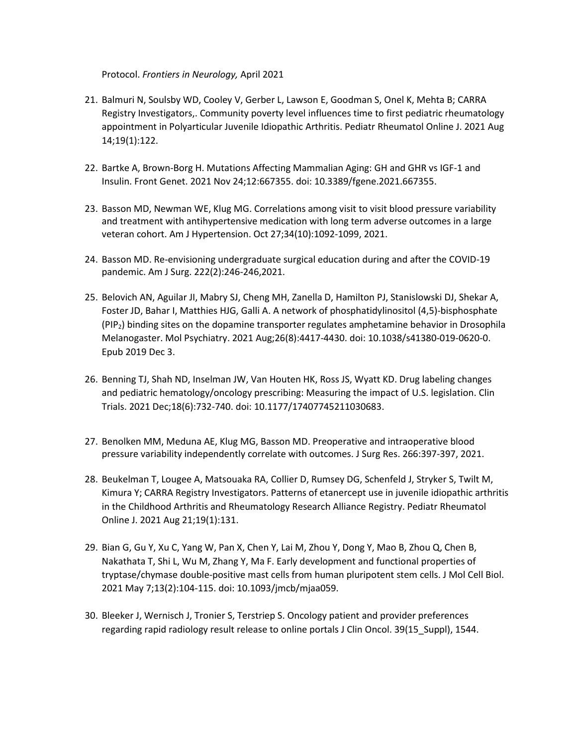Protocol. *Frontiers in Neurology,* April 2021

- 21. Balmuri N, Soulsby WD, Cooley V, Gerber L, Lawson E, Goodman S, Onel K, Mehta B; CARRA Registry Investigators,. Community poverty level influences time to first pediatric rheumatology appointment in Polyarticular Juvenile Idiopathic Arthritis. Pediatr Rheumatol Online J. 2021 Aug 14;19(1):122.
- 22. Bartke A, Brown-Borg H. Mutations Affecting Mammalian Aging: GH and GHR vs IGF-1 and Insulin. Front Genet. 2021 Nov 24;12:667355. doi: 10.3389/fgene.2021.667355.
- 23. Basson MD, Newman WE, Klug MG. Correlations among visit to visit blood pressure variability and treatment with antihypertensive medication with long term adverse outcomes in a large veteran cohort. Am J Hypertension. Oct 27;34(10):1092-1099, 2021.
- 24. Basson MD. Re-envisioning undergraduate surgical education during and after the COVID-19 pandemic. Am J Surg. 222(2):246-246,2021.
- 25. Belovich AN, Aguilar JI, Mabry SJ, Cheng MH, Zanella D, Hamilton PJ, Stanislowski DJ, Shekar A, Foster JD, Bahar I, Matthies HJG, Galli A. A network of phosphatidylinositol (4,5)-bisphosphate (PIP2) binding sites on the dopamine transporter regulates amphetamine behavior in Drosophila Melanogaster. Mol Psychiatry. 2021 Aug;26(8):4417-4430. doi: 10.1038/s41380-019-0620-0. Epub 2019 Dec 3.
- 26. Benning TJ, Shah ND, Inselman JW, Van Houten HK, Ross JS, Wyatt KD. Drug labeling changes and pediatric hematology/oncology prescribing: Measuring the impact of U.S. legislation. Clin Trials. 2021 Dec;18(6):732-740. doi: 10.1177/17407745211030683.
- 27. Benolken MM, Meduna AE, Klug MG, Basson MD. Preoperative and intraoperative blood pressure variability independently correlate with outcomes. J Surg Res. 266:397-397, 2021.
- 28. Beukelman T, Lougee A, Matsouaka RA, Collier D, Rumsey DG, Schenfeld J, Stryker S, Twilt M, Kimura Y; CARRA Registry Investigators. Patterns of etanercept use in juvenile idiopathic arthritis in the Childhood Arthritis and Rheumatology Research Alliance Registry. Pediatr Rheumatol Online J. 2021 Aug 21;19(1):131.
- 29. Bian G, Gu Y, Xu C, Yang W, Pan X, Chen Y, Lai M, Zhou Y, Dong Y, Mao B, Zhou Q, Chen B, Nakathata T, Shi L, Wu M, Zhang Y, Ma F. Early development and functional properties of tryptase/chymase double-positive mast cells from human pluripotent stem cells. J Mol Cell Biol. 2021 May 7;13(2):104-115. doi: 10.1093/jmcb/mjaa059.
- 30. Bleeker J, Wernisch J, Tronier S, Terstriep S. Oncology patient and provider preferences regarding rapid radiology result release to online portals J Clin Oncol. 39(15\_Suppl), 1544.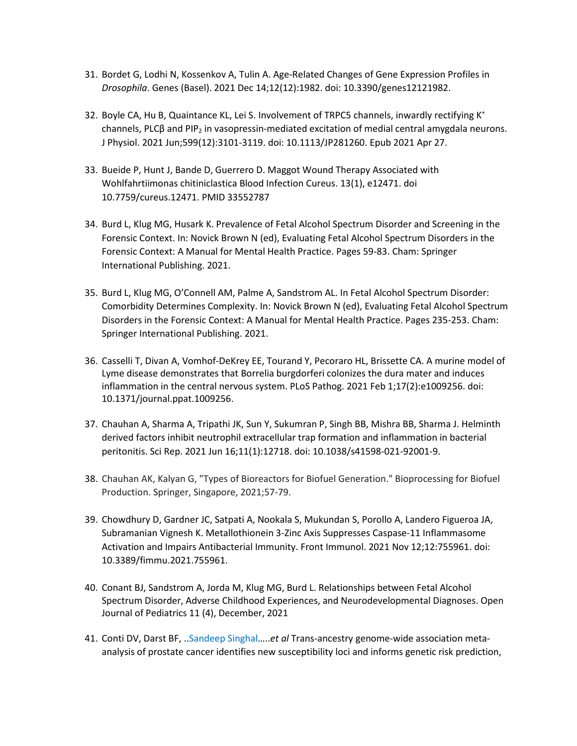- 31. Bordet G, Lodhi N, Kossenkov A, Tulin A. Age-Related Changes of Gene Expression Profiles in *Drosophila*. Genes (Basel). 2021 Dec 14;12(12):1982. doi: 10.3390/genes12121982.
- 32. Boyle CA, Hu B, Quaintance KL, Lei S. Involvement of TRPC5 channels, inwardly rectifying K<sup>+</sup> channels, PLCβ and PIP<sub>2</sub> in vasopressin-mediated excitation of medial central amygdala neurons. J Physiol. 2021 Jun;599(12):3101-3119. doi: 10.1113/JP281260. Epub 2021 Apr 27.
- 33. Bueide P, Hunt J, Bande D, Guerrero D. Maggot Wound Therapy Associated with Wohlfahrtiimonas chitiniclastica Blood Infection Cureus. 13(1), e12471. doi 10.7759/cureus.12471. PMID 33552787
- 34. Burd L, Klug MG, Husark K. Prevalence of Fetal Alcohol Spectrum Disorder and Screening in the Forensic Context. In: Novick Brown N (ed), Evaluating Fetal Alcohol Spectrum Disorders in the Forensic Context: A Manual for Mental Health Practice. Pages 59-83. Cham: Springer International Publishing. 2021.
- 35. Burd L, Klug MG, O'Connell AM, Palme A, Sandstrom AL. In Fetal Alcohol Spectrum Disorder: Comorbidity Determines Complexity. In: Novick Brown N (ed), Evaluating Fetal Alcohol Spectrum Disorders in the Forensic Context: A Manual for Mental Health Practice. Pages 235-253. Cham: Springer International Publishing. 2021.
- 36. Casselli T, Divan A, Vomhof-DeKrey EE, Tourand Y, Pecoraro HL, Brissette CA. A murine model of Lyme disease demonstrates that Borrelia burgdorferi colonizes the dura mater and induces inflammation in the central nervous system. PLoS Pathog. 2021 Feb 1;17(2):e1009256. doi: 10.1371/journal.ppat.1009256.
- 37. Chauhan A, Sharma A, Tripathi JK, Sun Y, Sukumran P, Singh BB, Mishra BB, Sharma J. Helminth derived factors inhibit neutrophil extracellular trap formation and inflammation in bacterial peritonitis. Sci Rep. 2021 Jun 16;11(1):12718. doi: 10.1038/s41598-021-92001-9.
- 38. Chauhan AK, Kalyan G, "Types of Bioreactors for Biofuel Generation." Bioprocessing for Biofuel Production. Springer, Singapore, 2021;57-79.
- 39. Chowdhury D, Gardner JC, Satpati A, Nookala S, Mukundan S, Porollo A, Landero Figueroa JA, Subramanian Vignesh K. Metallothionein 3-Zinc Axis Suppresses Caspase-11 Inflammasome Activation and Impairs Antibacterial Immunity. Front Immunol. 2021 Nov 12;12:755961. doi: 10.3389/fimmu.2021.755961.
- 40. Conant BJ, Sandstrom A, Jorda M, Klug MG, Burd L. Relationships between Fetal Alcohol Spectrum Disorder, Adverse Childhood Experiences, and Neurodevelopmental Diagnoses. Open Journal of Pediatrics 11 (4), December, 2021
- 41. Conti DV, Darst BF, ..Sandeep Singhal…..*et al* Trans-ancestry genome-wide association metaanalysis of prostate cancer identifies new susceptibility loci and informs genetic risk prediction,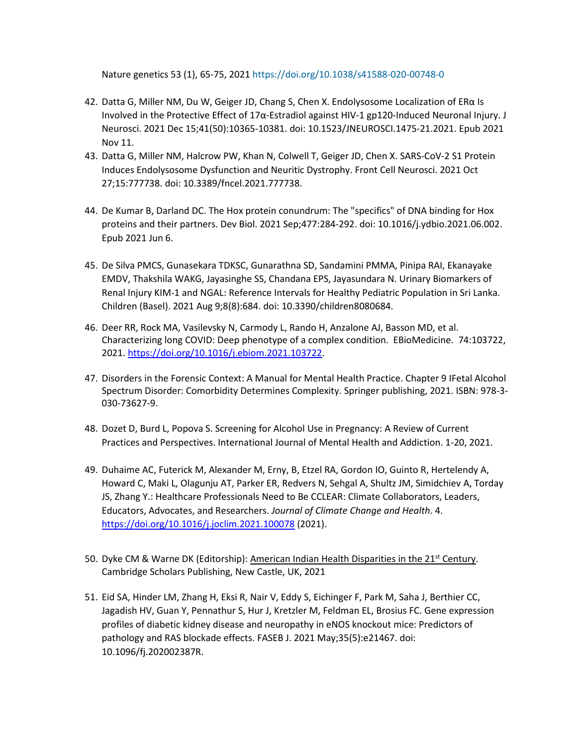Nature genetics 53 (1), 65-75, 2021 https://doi.org/10.1038/s41588-020-00748-0

- 42. Datta G, Miller NM, Du W, Geiger JD, Chang S, Chen X. Endolysosome Localization of ERα Is Involved in the Protective Effect of 17α-Estradiol against HIV-1 gp120-Induced Neuronal Injury. J Neurosci. 2021 Dec 15;41(50):10365-10381. doi: 10.1523/JNEUROSCI.1475-21.2021. Epub 2021 Nov 11.
- 43. Datta G, Miller NM, Halcrow PW, Khan N, Colwell T, Geiger JD, Chen X. SARS-CoV-2 S1 Protein Induces Endolysosome Dysfunction and Neuritic Dystrophy. Front Cell Neurosci. 2021 Oct 27;15:777738. doi: 10.3389/fncel.2021.777738.
- 44. De Kumar B, Darland DC. The Hox protein conundrum: The "specifics" of DNA binding for Hox proteins and their partners. Dev Biol. 2021 Sep;477:284-292. doi: 10.1016/j.ydbio.2021.06.002. Epub 2021 Jun 6.
- 45. De Silva PMCS, Gunasekara TDKSC, Gunarathna SD, Sandamini PMMA, Pinipa RAI, Ekanayake EMDV, Thakshila WAKG, Jayasinghe SS, Chandana EPS, Jayasundara N. Urinary Biomarkers of Renal Injury KIM-1 and NGAL: Reference Intervals for Healthy Pediatric Population in Sri Lanka. Children (Basel). 2021 Aug 9;8(8):684. doi: 10.3390/children8080684.
- 46. Deer RR, Rock MA, Vasilevsky N, Carmody L, Rando H, Anzalone AJ, Basson MD, et al. Characterizing long COVID: Deep phenotype of a complex condition. EBioMedicine. 74:103722, 2021[. https://doi.org/10.1016/j.ebiom.2021.103722.](https://doi.org/10.1016/j.ebiom.2021.103722)
- 47. Disorders in the Forensic Context: A Manual for Mental Health Practice. Chapter 9 IFetal Alcohol Spectrum Disorder: Comorbidity Determines Complexity. Springer publishing, 2021. ISBN: 978-3- 030-73627-9.
- 48. Dozet D, Burd L, Popova S. Screening for Alcohol Use in Pregnancy: A Review of Current Practices and Perspectives. International Journal of Mental Health and Addiction. 1-20, 2021.
- 49. Duhaime AC, Futerick M, Alexander M, Erny, B, Etzel RA, Gordon IO, Guinto R, Hertelendy A, Howard C, Maki L, Olagunju AT, Parker ER, Redvers N, Sehgal A, Shultz JM, Simidchiev A, Torday JS, Zhang Y.: Healthcare Professionals Need to Be CCLEAR: Climate Collaborators, Leaders, Educators, Advocates, and Researchers. *Journal of Climate Change and Health*. 4. <https://doi.org/10.1016/j.joclim.2021.100078> (2021).
- 50. Dyke CM & Warne DK (Editorship): American Indian Health Disparities in the 21<sup>st</sup> Century. Cambridge Scholars Publishing, New Castle, UK, 2021
- 51. Eid SA, Hinder LM, Zhang H, Eksi R, Nair V, Eddy S, Eichinger F, Park M, Saha J, Berthier CC, Jagadish HV, Guan Y, Pennathur S, Hur J, Kretzler M, Feldman EL, Brosius FC. Gene expression profiles of diabetic kidney disease and neuropathy in eNOS knockout mice: Predictors of pathology and RAS blockade effects. FASEB J. 2021 May;35(5):e21467. doi: 10.1096/fj.202002387R.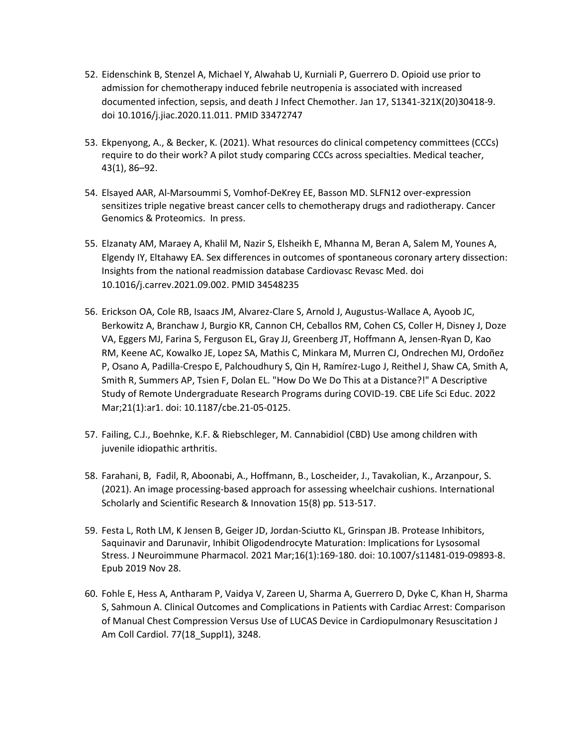- 52. Eidenschink B, Stenzel A, Michael Y, Alwahab U, Kurniali P, Guerrero D. Opioid use prior to admission for chemotherapy induced febrile neutropenia is associated with increased documented infection, sepsis, and death J Infect Chemother. Jan 17, S1341-321X(20)30418-9. doi 10.1016/j.jiac.2020.11.011. PMID 33472747
- 53. Ekpenyong, A., & Becker, K. (2021). What resources do clinical competency committees (CCCs) require to do their work? A pilot study comparing CCCs across specialties. Medical teacher, 43(1), 86–92.
- 54. Elsayed AAR, Al-Marsoummi S, Vomhof-DeKrey EE, Basson MD. SLFN12 over-expression sensitizes triple negative breast cancer cells to chemotherapy drugs and radiotherapy. Cancer Genomics & Proteomics. In press.
- 55. Elzanaty AM, Maraey A, Khalil M, Nazir S, Elsheikh E, Mhanna M, Beran A, Salem M, Younes A, Elgendy IY, Eltahawy EA. Sex differences in outcomes of spontaneous coronary artery dissection: Insights from the national readmission database Cardiovasc Revasc Med. doi 10.1016/j.carrev.2021.09.002. PMID 34548235
- 56. Erickson OA, Cole RB, Isaacs JM, Alvarez-Clare S, Arnold J, Augustus-Wallace A, Ayoob JC, Berkowitz A, Branchaw J, Burgio KR, Cannon CH, Ceballos RM, Cohen CS, Coller H, Disney J, Doze VA, Eggers MJ, Farina S, Ferguson EL, Gray JJ, Greenberg JT, Hoffmann A, Jensen-Ryan D, Kao RM, Keene AC, Kowalko JE, Lopez SA, Mathis C, Minkara M, Murren CJ, Ondrechen MJ, Ordoñez P, Osano A, Padilla-Crespo E, Palchoudhury S, Qin H, Ramírez-Lugo J, Reithel J, Shaw CA, Smith A, Smith R, Summers AP, Tsien F, Dolan EL. "How Do We Do This at a Distance?!" A Descriptive Study of Remote Undergraduate Research Programs during COVID-19. CBE Life Sci Educ. 2022 Mar;21(1):ar1. doi: 10.1187/cbe.21-05-0125.
- 57. Failing, C.J., Boehnke, K.F. & Riebschleger, M. Cannabidiol (CBD) Use among children with juvenile idiopathic arthritis.
- 58. Farahani, B, Fadil, R, Aboonabi, A., Hoffmann, B., Loscheider, J., Tavakolian, K., Arzanpour, S. (2021). An image processing-based approach for assessing wheelchair cushions. International Scholarly and Scientific Research & Innovation 15(8) pp. 513-517.
- 59. Festa L, Roth LM, K Jensen B, Geiger JD, Jordan-Sciutto KL, Grinspan JB. Protease Inhibitors, Saquinavir and Darunavir, Inhibit Oligodendrocyte Maturation: Implications for Lysosomal Stress. J Neuroimmune Pharmacol. 2021 Mar;16(1):169-180. doi: 10.1007/s11481-019-09893-8. Epub 2019 Nov 28.
- 60. Fohle E, Hess A, Antharam P, Vaidya V, Zareen U, Sharma A, Guerrero D, Dyke C, Khan H, Sharma S, Sahmoun A. Clinical Outcomes and Complications in Patients with Cardiac Arrest: Comparison of Manual Chest Compression Versus Use of LUCAS Device in Cardiopulmonary Resuscitation J Am Coll Cardiol. 77(18\_Suppl1), 3248.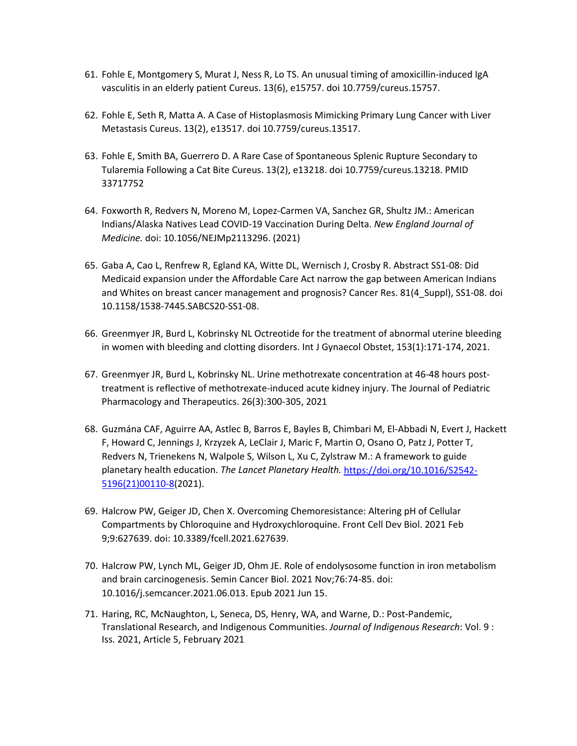- 61. Fohle E, Montgomery S, Murat J, Ness R, Lo TS. An unusual timing of amoxicillin-induced IgA vasculitis in an elderly patient Cureus. 13(6), e15757. doi 10.7759/cureus.15757.
- 62. Fohle E, Seth R, Matta A. A Case of Histoplasmosis Mimicking Primary Lung Cancer with Liver Metastasis Cureus. 13(2), e13517. doi 10.7759/cureus.13517.
- 63. Fohle E, Smith BA, Guerrero D. A Rare Case of Spontaneous Splenic Rupture Secondary to Tularemia Following a Cat Bite Cureus. 13(2), e13218. doi 10.7759/cureus.13218. PMID 33717752
- 64. Foxworth R, Redvers N, Moreno M, Lopez-Carmen VA, Sanchez GR, Shultz JM.: American Indians/Alaska Natives Lead COVID-19 Vaccination During Delta. *New England Journal of Medicine.* doi: 10.1056/NEJMp2113296. (2021)
- 65. Gaba A, Cao L, Renfrew R, Egland KA, Witte DL, Wernisch J, Crosby R. Abstract SS1-08: Did Medicaid expansion under the Affordable Care Act narrow the gap between American Indians and Whites on breast cancer management and prognosis? Cancer Res. 81(4\_Suppl), SS1-08. doi 10.1158/1538-7445.SABCS20-SS1-08.
- 66. Greenmyer JR, Burd L, Kobrinsky NL Octreotide for the treatment of abnormal uterine bleeding in women with bleeding and clotting disorders. Int J Gynaecol Obstet, 153(1):171-174, 2021.
- 67. Greenmyer JR, Burd L, Kobrinsky NL. Urine methotrexate concentration at 46-48 hours posttreatment is reflective of methotrexate-induced acute kidney injury. The Journal of Pediatric Pharmacology and Therapeutics. 26(3):300-305, 2021
- 68. Guzmána CAF, Aguirre AA, Astlec B, Barros E, Bayles B, Chimbari M, El-Abbadi N, Evert J, Hackett F, Howard C, Jennings J, Krzyzek A, LeClair J, Maric F, Martin O, Osano O, Patz J, Potter T, Redvers N, Trienekens N, Walpole S, Wilson L, Xu C, Zylstraw M.: A framework to guide planetary health education. *The Lancet Planetary Health.* [https://doi.org/10.1016/S2542-](https://doi.org/10.1016/S2542-5196(21)00110-8) [5196\(21\)00110-8\(](https://doi.org/10.1016/S2542-5196(21)00110-8)2021).
- 69. Halcrow PW, Geiger JD, Chen X. Overcoming Chemoresistance: Altering pH of Cellular Compartments by Chloroquine and Hydroxychloroquine. Front Cell Dev Biol. 2021 Feb 9;9:627639. doi: 10.3389/fcell.2021.627639.
- 70. Halcrow PW, Lynch ML, Geiger JD, Ohm JE. Role of endolysosome function in iron metabolism and brain carcinogenesis. Semin Cancer Biol. 2021 Nov;76:74-85. doi: 10.1016/j.semcancer.2021.06.013. Epub 2021 Jun 15.
- 71. Haring, RC, McNaughton, L, Seneca, DS, Henry, WA, and Warne, D.: Post-Pandemic, Translational Research, and Indigenous Communities. *Journal of Indigenous Research*: Vol. 9 : Iss. 2021, Article 5, February 2021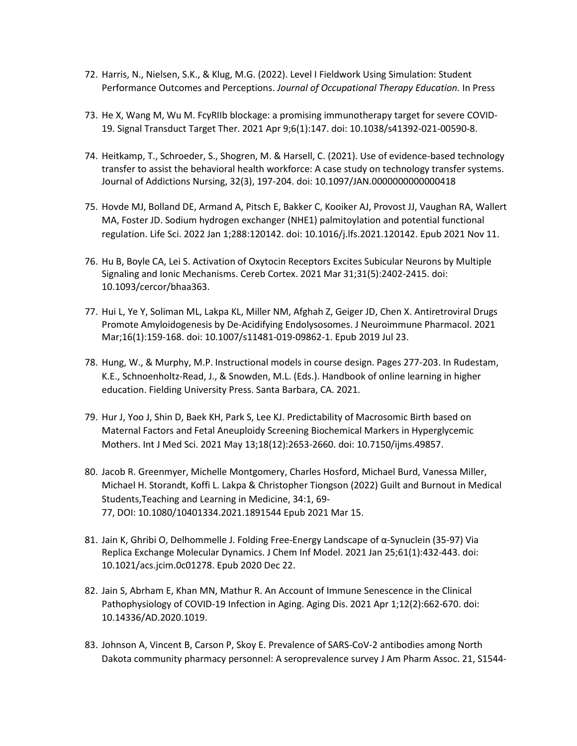- 72. Harris, N., Nielsen, S.K., & Klug, M.G. (2022). Level I Fieldwork Using Simulation: Student Performance Outcomes and Perceptions. *Journal of Occupational Therapy Education.* In Press
- 73. He X, Wang M, Wu M. FcγRIIb blockage: a promising immunotherapy target for severe COVID-19. Signal Transduct Target Ther. 2021 Apr 9;6(1):147. doi: 10.1038/s41392-021-00590-8.
- 74. Heitkamp, T., Schroeder, S., Shogren, M. & Harsell, C. (2021). Use of evidence-based technology transfer to assist the behavioral health workforce: A case study on technology transfer systems. Journal of Addictions Nursing, 32(3), 197-204. doi: 10.1097/JAN.0000000000000418
- 75. Hovde MJ, Bolland DE, Armand A, Pitsch E, Bakker C, Kooiker AJ, Provost JJ, Vaughan RA, Wallert MA, Foster JD. Sodium hydrogen exchanger (NHE1) palmitoylation and potential functional regulation. Life Sci. 2022 Jan 1;288:120142. doi: 10.1016/j.lfs.2021.120142. Epub 2021 Nov 11.
- 76. Hu B, Boyle CA, Lei S. Activation of Oxytocin Receptors Excites Subicular Neurons by Multiple Signaling and Ionic Mechanisms. Cereb Cortex. 2021 Mar 31;31(5):2402-2415. doi: 10.1093/cercor/bhaa363.
- 77. Hui L, Ye Y, Soliman ML, Lakpa KL, Miller NM, Afghah Z, Geiger JD, Chen X. Antiretroviral Drugs Promote Amyloidogenesis by De-Acidifying Endolysosomes. J Neuroimmune Pharmacol. 2021 Mar;16(1):159-168. doi: 10.1007/s11481-019-09862-1. Epub 2019 Jul 23.
- 78. Hung, W., & Murphy, M.P. Instructional models in course design. Pages 277-203. In Rudestam, K.E., Schnoenholtz-Read, J., & Snowden, M.L. (Eds.). Handbook of online learning in higher education. Fielding University Press. Santa Barbara, CA. 2021.
- 79. Hur J, Yoo J, Shin D, Baek KH, Park S, Lee KJ. Predictability of Macrosomic Birth based on Maternal Factors and Fetal Aneuploidy Screening Biochemical Markers in Hyperglycemic Mothers. Int J Med Sci. 2021 May 13;18(12):2653-2660. doi: 10.7150/ijms.49857.
- 80. Jacob R. Greenmyer, Michelle Montgomery, Charles Hosford, Michael Burd, Vanessa Miller, Michael H. Storandt, Koffi L. Lakpa & Christopher Tiongson (2022) Guilt and Burnout in Medical Students,Teaching and Learning in Medicine, 34:1, 69- 77, DOI: [10.1080/10401334.2021.1891544](https://doi.org/10.1080/10401334.2021.1891544) Epub 2021 Mar 15.
- 81. Jain K, Ghribi O, Delhommelle J. Folding Free-Energy Landscape of α-Synuclein (35-97) Via Replica Exchange Molecular Dynamics. J Chem Inf Model. 2021 Jan 25;61(1):432-443. doi: 10.1021/acs.jcim.0c01278. Epub 2020 Dec 22.
- 82. Jain S, Abrham E, Khan MN, Mathur R. An Account of Immune Senescence in the Clinical Pathophysiology of COVID-19 Infection in Aging. Aging Dis. 2021 Apr 1;12(2):662-670. doi: 10.14336/AD.2020.1019.
- 83. Johnson A, Vincent B, Carson P, Skoy E. Prevalence of SARS-CoV-2 antibodies among North Dakota community pharmacy personnel: A seroprevalence survey J Am Pharm Assoc. 21, S1544-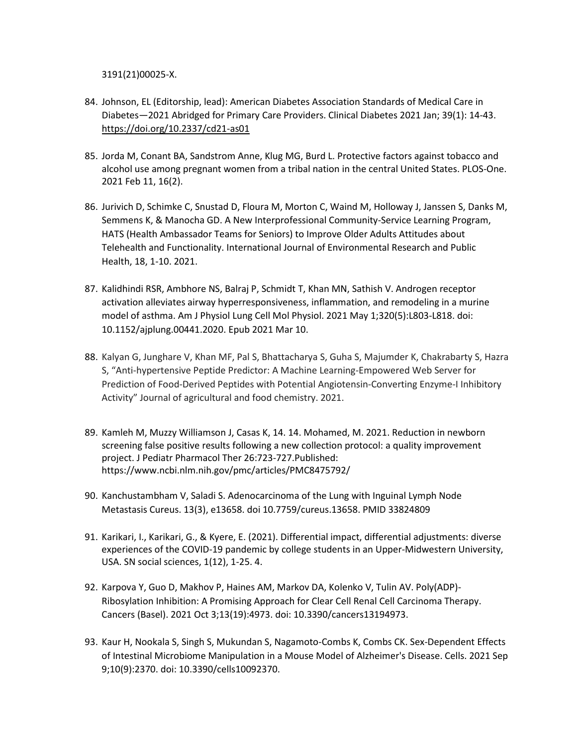3191(21)00025-X.

- 84. Johnson, EL (Editorship, lead): American Diabetes Association Standards of Medical Care in Diabetes—2021 Abridged for Primary Care Providers. Clinical Diabetes 2021 Jan; 39(1): 14-43. <https://doi.org/10.2337/cd21-as01>
- 85. Jorda M, Conant BA, Sandstrom Anne, Klug MG, Burd L. Protective factors against tobacco and alcohol use among pregnant women from a tribal nation in the central United States. PLOS-One. 2021 Feb 11, 16(2).
- 86. Jurivich D, Schimke C, Snustad D, Floura M, Morton C, Waind M, Holloway J, Janssen S, Danks M, Semmens K, & Manocha GD. A New Interprofessional Community-Service Learning Program, HATS (Health Ambassador Teams for Seniors) to Improve Older Adults Attitudes about Telehealth and Functionality. International Journal of Environmental Research and Public Health, 18, 1-10. 2021.
- 87. Kalidhindi RSR, Ambhore NS, Balraj P, Schmidt T, Khan MN, Sathish V. Androgen receptor activation alleviates airway hyperresponsiveness, inflammation, and remodeling in a murine model of asthma. Am J Physiol Lung Cell Mol Physiol. 2021 May 1;320(5):L803-L818. doi: 10.1152/ajplung.00441.2020. Epub 2021 Mar 10.
- 88. Kalyan G, Junghare V, Khan MF, Pal S, Bhattacharya S, Guha S, Majumder K, Chakrabarty S, Hazra S, "Anti-hypertensive Peptide Predictor: A Machine Learning-Empowered Web Server for Prediction of Food-Derived Peptides with Potential Angiotensin-Converting Enzyme-I Inhibitory Activity" Journal of agricultural and food chemistry. 2021.
- 89. Kamleh M, Muzzy Williamson J, Casas K, 14. 14. Mohamed, M. 2021. Reduction in newborn screening false positive results following a new collection protocol: a quality improvement project. J Pediatr Pharmacol Ther 26:723-727.Published: <https://www.ncbi.nlm.nih.gov/pmc/articles/PMC8475792/>
- 90. Kanchustambham V, Saladi S. Adenocarcinoma of the Lung with Inguinal Lymph Node Metastasis Cureus. 13(3), e13658. doi 10.7759/cureus.13658. PMID 33824809
- 91. Karikari, I., Karikari, G., & Kyere, E. (2021). Differential impact, differential adjustments: diverse experiences of the COVID-19 pandemic by college students in an Upper-Midwestern University, USA. SN social sciences, 1(12), 1-25. 4.
- 92. Karpova Y, Guo D, Makhov P, Haines AM, Markov DA, Kolenko V, Tulin AV. Poly(ADP)- Ribosylation Inhibition: A Promising Approach for Clear Cell Renal Cell Carcinoma Therapy. Cancers (Basel). 2021 Oct 3;13(19):4973. doi: 10.3390/cancers13194973.
- 93. Kaur H, Nookala S, Singh S, Mukundan S, Nagamoto-Combs K, Combs CK. Sex-Dependent Effects of Intestinal Microbiome Manipulation in a Mouse Model of Alzheimer's Disease. Cells. 2021 Sep 9;10(9):2370. doi: 10.3390/cells10092370.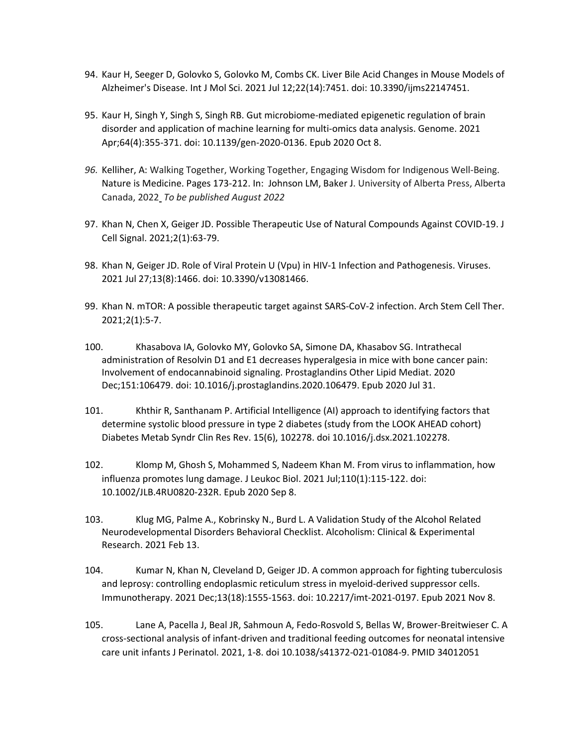- 94. Kaur H, Seeger D, Golovko S, Golovko M, Combs CK. Liver Bile Acid Changes in Mouse Models of Alzheimer's Disease. Int J Mol Sci. 2021 Jul 12;22(14):7451. doi: 10.3390/ijms22147451.
- 95. Kaur H, Singh Y, Singh S, Singh RB. Gut microbiome-mediated epigenetic regulation of brain disorder and application of machine learning for multi-omics data analysis. Genome. 2021 Apr;64(4):355-371. doi: 10.1139/gen-2020-0136. Epub 2020 Oct 8.
- *96.* Kelliher, A: Walking Together, Working Together, Engaging Wisdom for Indigenous Well-Being. Nature is Medicine. Pages 173-212. In: Johnson LM, Baker J. University of Alberta Press, Alberta Canada, 2022 *To be published August 2022*
- 97. Khan N, Chen X, Geiger JD. Possible Therapeutic Use of Natural Compounds Against COVID-19. J Cell Signal. 2021;2(1):63-79.
- 98. Khan N, Geiger JD. Role of Viral Protein U (Vpu) in HIV-1 Infection and Pathogenesis. Viruses. 2021 Jul 27;13(8):1466. doi: 10.3390/v13081466.
- 99. Khan N. mTOR: A possible therapeutic target against SARS-CoV-2 infection. Arch Stem Cell Ther. 2021;2(1):5-7.
- 100. Khasabova IA, Golovko MY, Golovko SA, Simone DA, Khasabov SG. Intrathecal administration of Resolvin D1 and E1 decreases hyperalgesia in mice with bone cancer pain: Involvement of endocannabinoid signaling. Prostaglandins Other Lipid Mediat. 2020 Dec;151:106479. doi: 10.1016/j.prostaglandins.2020.106479. Epub 2020 Jul 31.
- 101. Khthir R, Santhanam P. Artificial Intelligence (AI) approach to identifying factors that determine systolic blood pressure in type 2 diabetes (study from the LOOK AHEAD cohort) Diabetes Metab Syndr Clin Res Rev. 15(6), 102278. doi 10.1016/j.dsx.2021.102278.
- 102. Klomp M, Ghosh S, Mohammed S, Nadeem Khan M. From virus to inflammation, how influenza promotes lung damage. J Leukoc Biol. 2021 Jul;110(1):115-122. doi: 10.1002/JLB.4RU0820-232R. Epub 2020 Sep 8.
- 103. Klug MG, Palme A., Kobrinsky N., Burd L. A Validation Study of the Alcohol Related Neurodevelopmental Disorders Behavioral Checklist. Alcoholism: Clinical & Experimental Research. 2021 Feb 13.
- 104. Kumar N, Khan N, Cleveland D, Geiger JD. A common approach for fighting tuberculosis and leprosy: controlling endoplasmic reticulum stress in myeloid-derived suppressor cells. Immunotherapy. 2021 Dec;13(18):1555-1563. doi: 10.2217/imt-2021-0197. Epub 2021 Nov 8.
- 105. Lane A, Pacella J, Beal JR, Sahmoun A, Fedo-Rosvold S, Bellas W, Brower-Breitwieser C. A cross-sectional analysis of infant-driven and traditional feeding outcomes for neonatal intensive care unit infants J Perinatol. 2021, 1-8. doi 10.1038/s41372-021-01084-9. PMID 34012051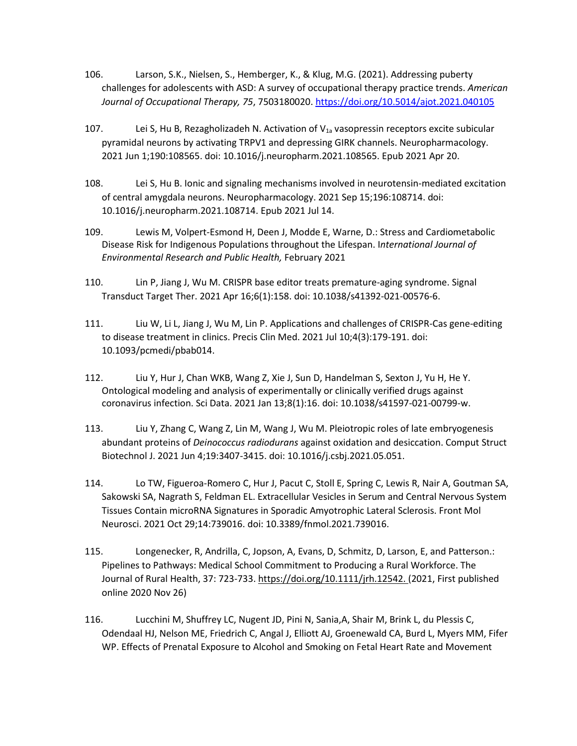- 106. Larson, S.K., Nielsen, S., Hemberger, K., & Klug, M.G. (2021). Addressing puberty challenges for adolescents with ASD: A survey of occupational therapy practice trends. *American Journal of Occupational Therapy, 75*, 7503180020.<https://doi.org/10.5014/ajot.2021.040105>
- 107. Lei S, Hu B, Rezagholizadeh N. Activation of  $V_{1a}$  vasopressin receptors excite subicular pyramidal neurons by activating TRPV1 and depressing GIRK channels. Neuropharmacology. 2021 Jun 1;190:108565. doi: 10.1016/j.neuropharm.2021.108565. Epub 2021 Apr 20.
- 108. Lei S, Hu B. Ionic and signaling mechanisms involved in neurotensin-mediated excitation of central amygdala neurons. Neuropharmacology. 2021 Sep 15;196:108714. doi: 10.1016/j.neuropharm.2021.108714. Epub 2021 Jul 14.
- 109. Lewis M, Volpert-Esmond H, Deen J, Modde E, Warne, D.: Stress and Cardiometabolic Disease Risk for Indigenous Populations throughout the Lifespan. I*nternational Journal of Environmental Research and Public Health,* February 2021
- 110. Lin P, Jiang J, Wu M. CRISPR base editor treats premature-aging syndrome. Signal Transduct Target Ther. 2021 Apr 16;6(1):158. doi: 10.1038/s41392-021-00576-6.
- 111. Liu W, Li L, Jiang J, Wu M, Lin P. Applications and challenges of CRISPR-Cas gene-editing to disease treatment in clinics. Precis Clin Med. 2021 Jul 10;4(3):179-191. doi: 10.1093/pcmedi/pbab014.
- 112. Liu Y, Hur J, Chan WKB, Wang Z, Xie J, Sun D, Handelman S, Sexton J, Yu H, He Y. Ontological modeling and analysis of experimentally or clinically verified drugs against coronavirus infection. Sci Data. 2021 Jan 13;8(1):16. doi: 10.1038/s41597-021-00799-w.
- 113. Liu Y, Zhang C, Wang Z, Lin M, Wang J, Wu M. Pleiotropic roles of late embryogenesis abundant proteins of *Deinococcus radiodurans* against oxidation and desiccation. Comput Struct Biotechnol J. 2021 Jun 4;19:3407-3415. doi: 10.1016/j.csbj.2021.05.051.
- 114. Lo TW, Figueroa-Romero C, Hur J, Pacut C, Stoll E, Spring C, Lewis R, Nair A, Goutman SA, Sakowski SA, Nagrath S, Feldman EL. Extracellular Vesicles in Serum and Central Nervous System Tissues Contain microRNA Signatures in Sporadic Amyotrophic Lateral Sclerosis. Front Mol Neurosci. 2021 Oct 29;14:739016. doi: 10.3389/fnmol.2021.739016.
- 115. Longenecker, R, Andrilla, C, Jopson, A, Evans, D, Schmitz, D, Larson, E, and Patterson.: Pipelines to Pathways: Medical School Commitment to Producing a Rural Workforce. The Journal of Rural Health, 37: 723-733. [https://doi.org/10.1111/jrh.12542.](https://doi.org/10.1111/jrh.12542) (2021, First published online 2020 Nov 26)
- 116. Lucchini M, Shuffrey LC, Nugent JD, Pini N, Sania,A, Shair M, Brink L, du Plessis C, Odendaal HJ, Nelson ME, Friedrich C, Angal J, Elliott AJ, Groenewald CA, Burd L, Myers MM, Fifer WP. Effects of Prenatal Exposure to Alcohol and Smoking on Fetal Heart Rate and Movement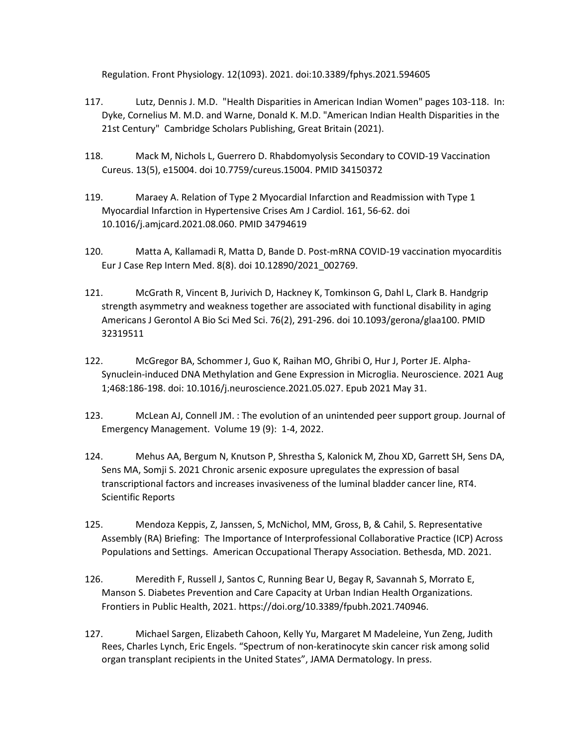Regulation. Front Physiology. 12(1093). 2021. doi:10.3389/fphys.2021.594605

- 117. Lutz, Dennis J. M.D. "Health Disparities in American Indian Women" pages 103-118. In: Dyke, Cornelius M. M.D. and Warne, Donald K. M.D. "American Indian Health Disparities in the 21st Century" Cambridge Scholars Publishing, Great Britain (2021).
- 118. Mack M, Nichols L, Guerrero D. Rhabdomyolysis Secondary to COVID-19 Vaccination Cureus. 13(5), e15004. doi 10.7759/cureus.15004. PMID 34150372
- 119. Maraey A. Relation of Type 2 Myocardial Infarction and Readmission with Type 1 Myocardial Infarction in Hypertensive Crises Am J Cardiol. 161, 56-62. doi 10.1016/j.amjcard.2021.08.060. PMID 34794619
- 120. Matta A, Kallamadi R, Matta D, Bande D. Post-mRNA COVID-19 vaccination myocarditis Eur J Case Rep Intern Med. 8(8). doi 10.12890/2021\_002769.
- 121. McGrath R, Vincent B, Jurivich D, Hackney K, Tomkinson G, Dahl L, Clark B. Handgrip strength asymmetry and weakness together are associated with functional disability in aging Americans J Gerontol A Bio Sci Med Sci. 76(2), 291-296. doi 10.1093/gerona/glaa100. PMID 32319511
- 122. McGregor BA, Schommer J, Guo K, Raihan MO, Ghribi O, Hur J, Porter JE. Alpha-Synuclein-induced DNA Methylation and Gene Expression in Microglia. Neuroscience. 2021 Aug 1;468:186-198. doi: 10.1016/j.neuroscience.2021.05.027. Epub 2021 May 31.
- 123. McLean AJ, Connell JM. : The evolution of an unintended peer support group. Journal of Emergency Management. Volume 19 (9): 1-4, 2022.
- 124. Mehus AA, Bergum N, Knutson P, Shrestha S, Kalonick M, Zhou XD, Garrett SH, Sens DA, Sens MA, Somji S. 2021 Chronic arsenic exposure upregulates the expression of basal transcriptional factors and increases invasiveness of the luminal bladder cancer line, RT4. Scientific Reports
- 125. Mendoza Keppis, Z, Janssen, S, McNichol, MM, Gross, B, & Cahil, S. Representative Assembly (RA) Briefing: The Importance of Interprofessional Collaborative Practice (ICP) Across Populations and Settings. American Occupational Therapy Association. Bethesda, MD. 2021.
- 126. Meredith F, Russell J, Santos C, Running Bear U, Begay R, Savannah S, Morrato E, Manson S. Diabetes Prevention and Care Capacity at Urban Indian Health Organizations. Frontiers in Public Health, 2021. https://doi.org/10.3389/fpubh.2021.740946.
- 127. Michael Sargen, Elizabeth Cahoon, Kelly Yu, Margaret M Madeleine, Yun Zeng, Judith Rees, Charles Lynch, Eric Engels. "Spectrum of non-keratinocyte skin cancer risk among solid organ transplant recipients in the United States", JAMA Dermatology. In press.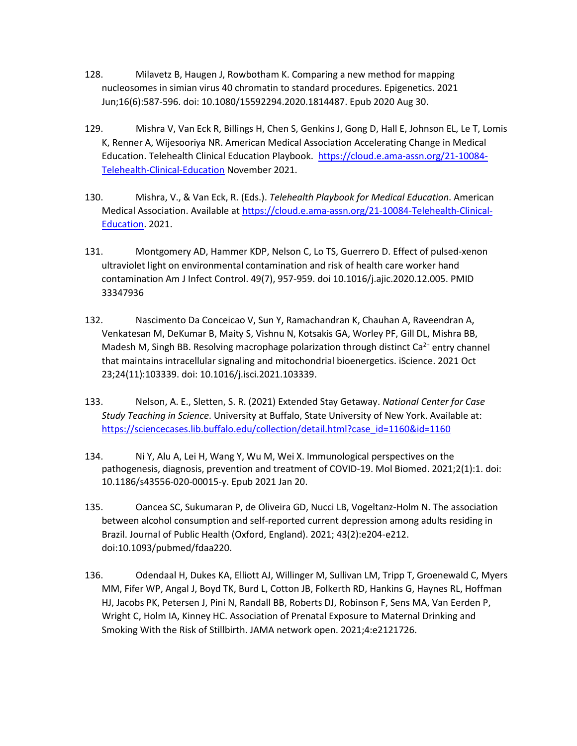- 128. Milavetz B, Haugen J, Rowbotham K. Comparing a new method for mapping nucleosomes in simian virus 40 chromatin to standard procedures. Epigenetics. 2021 Jun;16(6):587-596. doi: 10.1080/15592294.2020.1814487. Epub 2020 Aug 30.
- 129. Mishra V, Van Eck R, Billings H, Chen S, Genkins J, Gong D, Hall E, Johnson EL, Le T, Lomis K, Renner A, Wijesooriya NR. American Medical Association Accelerating Change in Medical Education. Telehealth Clinical Education Playbook. [https://cloud.e.ama-assn.org/21-10084-](https://cloud.e.ama-assn.org/21-10084-Telehealth-Clinical-Education) [Telehealth-Clinical-Education](https://cloud.e.ama-assn.org/21-10084-Telehealth-Clinical-Education) November 2021.
- 130. Mishra, V., & Van Eck, R. (Eds.). *Telehealth Playbook for Medical Education*. American Medical Association. Available at [https://cloud.e.ama-assn.org/21-10084-Telehealth-Clinical-](https://urldefense.com/v3/__https:/cloud.e.ama-assn.org/21-10084-Telehealth-Clinical-Education__;!!OToaGQ!-P30fVbm3JpsBzV6qoG4lL94FwOsTvgP4b8e_wzvNmOZxNd3PabN0GzyD2zH4o80rYc$)[Education.](https://urldefense.com/v3/__https:/cloud.e.ama-assn.org/21-10084-Telehealth-Clinical-Education__;!!OToaGQ!-P30fVbm3JpsBzV6qoG4lL94FwOsTvgP4b8e_wzvNmOZxNd3PabN0GzyD2zH4o80rYc$) 2021.
- 131. Montgomery AD, Hammer KDP, Nelson C, Lo TS, Guerrero D. Effect of pulsed-xenon ultraviolet light on environmental contamination and risk of health care worker hand contamination Am J Infect Control. 49(7), 957-959. doi 10.1016/j.ajic.2020.12.005. PMID 33347936
- 132. Nascimento Da Conceicao V, Sun Y, Ramachandran K, Chauhan A, Raveendran A, Venkatesan M, DeKumar B, Maity S, Vishnu N, Kotsakis GA, Worley PF, Gill DL, Mishra BB, Madesh M, Singh BB. Resolving macrophage polarization through distinct Ca<sup>2+</sup> entry channel that maintains intracellular signaling and mitochondrial bioenergetics. iScience. 2021 Oct 23;24(11):103339. doi: 10.1016/j.isci.2021.103339.
- 133. Nelson, A. E., Sletten, S. R. (2021) Extended Stay Getaway. *National Center for Case Study Teaching in Science*. University at Buffalo, State University of New York. Available at: [https://sciencecases.lib.buffalo.edu/collection/detail.html?case\\_id=1160&id=1160](https://sciencecases.lib.buffalo.edu/collection/detail.html?case_id=1160&id=1160)
- 134. Ni Y, Alu A, Lei H, Wang Y, Wu M, Wei X. Immunological perspectives on the pathogenesis, diagnosis, prevention and treatment of COVID-19. Mol Biomed. 2021;2(1):1. doi: 10.1186/s43556-020-00015-y. Epub 2021 Jan 20.
- 135. Oancea SC, Sukumaran P, de Oliveira GD, Nucci LB, Vogeltanz-Holm N. The association between alcohol consumption and self-reported current depression among adults residing in Brazil. Journal of Public Health (Oxford, England). 2021; 43(2):e204-e212. doi:10.1093/pubmed/fdaa220.
- 136. Odendaal H, Dukes KA, Elliott AJ, Willinger M, Sullivan LM, Tripp T, Groenewald C, Myers MM, Fifer WP, Angal J, Boyd TK, Burd L, Cotton JB, Folkerth RD, Hankins G, Haynes RL, Hoffman HJ, Jacobs PK, Petersen J, Pini N, Randall BB, Roberts DJ, Robinson F, Sens MA, Van Eerden P, Wright C, Holm IA, Kinney HC. Association of Prenatal Exposure to Maternal Drinking and Smoking With the Risk of Stillbirth. JAMA network open. 2021;4:e2121726.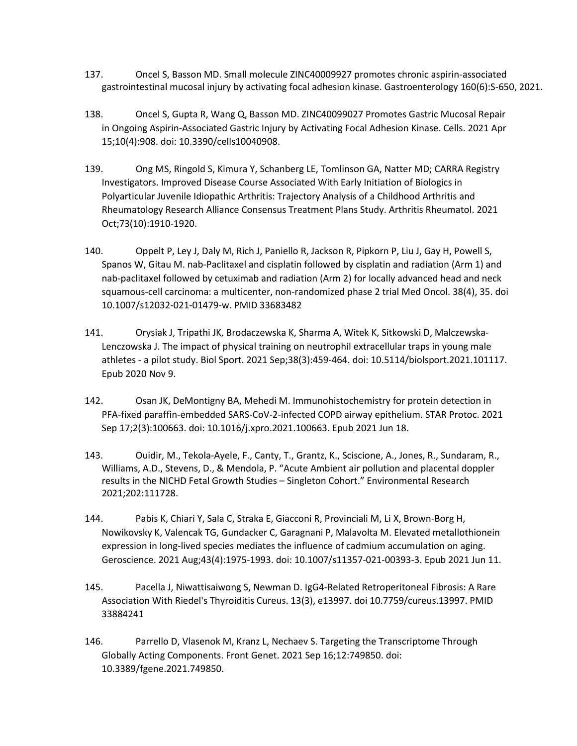- 137. Oncel S, Basson MD. Small molecule ZINC40009927 promotes chronic aspirin-associated gastrointestinal mucosal injury by activating focal adhesion kinase. Gastroenterology 160(6):S-650, 2021.
- 138. Oncel S, Gupta R, Wang Q, Basson MD. ZINC40099027 Promotes Gastric Mucosal Repair in Ongoing Aspirin-Associated Gastric Injury by Activating Focal Adhesion Kinase. Cells. 2021 Apr 15;10(4):908. doi: 10.3390/cells10040908.
- 139. Ong MS, Ringold S, Kimura Y, Schanberg LE, Tomlinson GA, Natter MD; CARRA Registry Investigators. Improved Disease Course Associated With Early Initiation of Biologics in Polyarticular Juvenile Idiopathic Arthritis: Trajectory Analysis of a Childhood Arthritis and Rheumatology Research Alliance Consensus Treatment Plans Study. Arthritis Rheumatol. 2021 Oct;73(10):1910-1920.
- 140. Oppelt P, Ley J, Daly M, Rich J, Paniello R, Jackson R, Pipkorn P, Liu J, Gay H, Powell S, Spanos W, Gitau M. nab-Paclitaxel and cisplatin followed by cisplatin and radiation (Arm 1) and nab-paclitaxel followed by cetuximab and radiation (Arm 2) for locally advanced head and neck squamous-cell carcinoma: a multicenter, non-randomized phase 2 trial Med Oncol. 38(4), 35. doi 10.1007/s12032-021-01479-w. PMID 33683482
- 141. Orysiak J, Tripathi JK, Brodaczewska K, Sharma A, Witek K, Sitkowski D, Malczewska-Lenczowska J. The impact of physical training on neutrophil extracellular traps in young male athletes - a pilot study. Biol Sport. 2021 Sep;38(3):459-464. doi: 10.5114/biolsport.2021.101117. Epub 2020 Nov 9.
- 142. Osan JK, DeMontigny BA, Mehedi M. Immunohistochemistry for protein detection in PFA-fixed paraffin-embedded SARS-CoV-2-infected COPD airway epithelium. STAR Protoc. 2021 Sep 17;2(3):100663. doi: 10.1016/j.xpro.2021.100663. Epub 2021 Jun 18.
- 143. Ouidir, M., Tekola-Ayele, F., Canty, T., Grantz, K., Sciscione, A., Jones, R., Sundaram, R., Williams, A.D., Stevens, D., & Mendola, P. "Acute Ambient air pollution and placental doppler results in the NICHD Fetal Growth Studies – Singleton Cohort." Environmental Research 2021;202:111728.
- 144. Pabis K, Chiari Y, Sala C, Straka E, Giacconi R, Provinciali M, Li X, Brown-Borg H, Nowikovsky K, Valencak TG, Gundacker C, Garagnani P, Malavolta M. Elevated metallothionein expression in long-lived species mediates the influence of cadmium accumulation on aging. Geroscience. 2021 Aug;43(4):1975-1993. doi: 10.1007/s11357-021-00393-3. Epub 2021 Jun 11.
- 145. Pacella J, Niwattisaiwong S, Newman D. IgG4-Related Retroperitoneal Fibrosis: A Rare Association With Riedel's Thyroiditis Cureus. 13(3), e13997. doi 10.7759/cureus.13997. PMID 33884241
- 146. Parrello D, Vlasenok M, Kranz L, Nechaev S. Targeting the Transcriptome Through Globally Acting Components. Front Genet. 2021 Sep 16;12:749850. doi: 10.3389/fgene.2021.749850.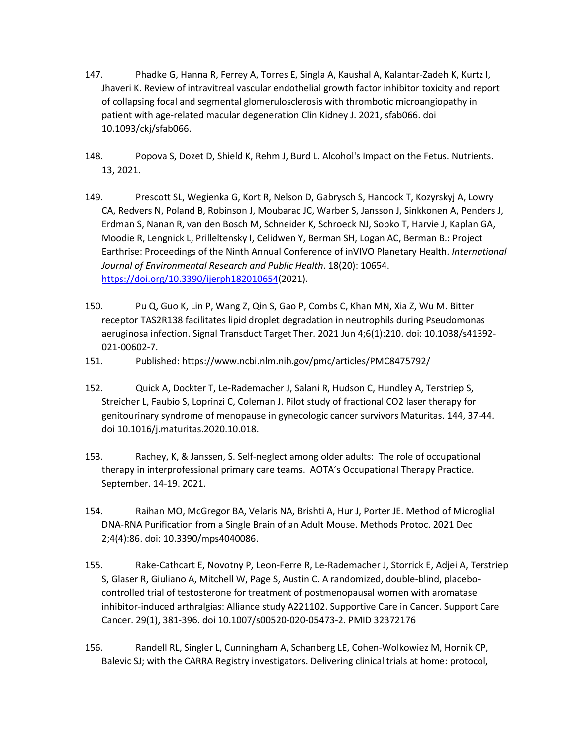- 147. Phadke G, Hanna R, Ferrey A, Torres E, Singla A, Kaushal A, Kalantar-Zadeh K, Kurtz I, Jhaveri K. Review of intravitreal vascular endothelial growth factor inhibitor toxicity and report of collapsing focal and segmental glomerulosclerosis with thrombotic microangiopathy in patient with age-related macular degeneration Clin Kidney J. 2021, sfab066. doi 10.1093/ckj/sfab066.
- 148. Popova S, Dozet D, Shield K, Rehm J, Burd L. Alcohol's Impact on the Fetus. Nutrients. 13, 2021.
- 149. Prescott SL, Wegienka G, Kort R, Nelson D, Gabrysch S, Hancock T, Kozyrskyj A, Lowry CA, Redvers N, Poland B, Robinson J, Moubarac JC, Warber S, Jansson J, Sinkkonen A, Penders J, Erdman S, Nanan R, van den Bosch M, Schneider K, Schroeck NJ, Sobko T, Harvie J, Kaplan GA, Moodie R, Lengnick L, Prilleltensky I, Celidwen Y, Berman SH, Logan AC, Berman B.: Project Earthrise: Proceedings of the Ninth Annual Conference of inVIVO Planetary Health. *International Journal of Environmental Research and Public Health*. 18(20): 10654. [https://doi.org/10.3390/ijerph182010654\(](https://doi.org/10.3390/ijerph182010654)2021).
- 150. Pu Q, Guo K, Lin P, Wang Z, Qin S, Gao P, Combs C, Khan MN, Xia Z, Wu M. Bitter receptor TAS2R138 facilitates lipid droplet degradation in neutrophils during Pseudomonas aeruginosa infection. Signal Transduct Target Ther. 2021 Jun 4;6(1):210. doi: 10.1038/s41392- 021-00602-7.
- 151. Published:<https://www.ncbi.nlm.nih.gov/pmc/articles/PMC8475792/>
- 152. Quick A, Dockter T, Le-Rademacher J, Salani R, Hudson C, Hundley A, Terstriep S, Streicher L, Faubio S, Loprinzi C, Coleman J. Pilot study of fractional CO2 laser therapy for genitourinary syndrome of menopause in gynecologic cancer survivors Maturitas. 144, 37-44. doi 10.1016/j.maturitas.2020.10.018.
- 153. Rachey, K, & Janssen, S. Self-neglect among older adults: The role of occupational therapy in interprofessional primary care teams. AOTA's Occupational Therapy Practice. September. 14-19. 2021.
- 154. Raihan MO, McGregor BA, Velaris NA, Brishti A, Hur J, Porter JE. Method of Microglial DNA-RNA Purification from a Single Brain of an Adult Mouse. Methods Protoc. 2021 Dec 2;4(4):86. doi: 10.3390/mps4040086.
- 155. Rake-Cathcart E, Novotny P, Leon-Ferre R, Le-Rademacher J, Storrick E, Adjei A, Terstriep S, Glaser R, Giuliano A, Mitchell W, Page S, Austin C. A randomized, double-blind, placebocontrolled trial of testosterone for treatment of postmenopausal women with aromatase inhibitor-induced arthralgias: Alliance study A221102. Supportive Care in Cancer. Support Care Cancer. 29(1), 381-396. doi 10.1007/s00520-020-05473-2. PMID 32372176
- 156. Randell RL, Singler L, Cunningham A, Schanberg LE, Cohen-Wolkowiez M, Hornik CP, Balevic SJ; with the CARRA Registry investigators. Delivering clinical trials at home: protocol,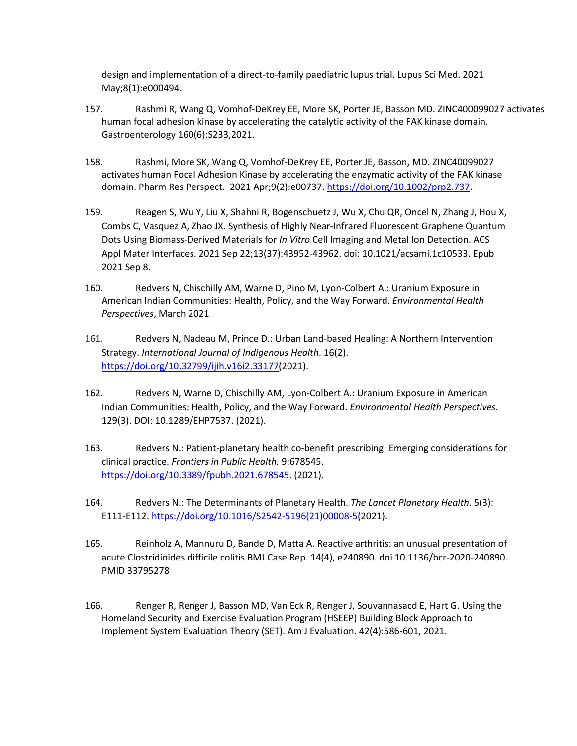design and implementation of a direct-to-family paediatric lupus trial. Lupus Sci Med. 2021 May;8(1):e000494.

- 157. Rashmi R, Wang Q, Vomhof-DeKrey EE, More SK, Porter JE, Basson MD. ZINC400099027 activates human focal adhesion kinase by accelerating the catalytic activity of the FAK kinase domain. Gastroenterology 160(6):S233,2021.
- 158. Rashmi, More SK, Wang Q, Vomhof-DeKrey EE, Porter JE, Basson, MD. ZINC40099027 activates human Focal Adhesion Kinase by accelerating the enzymatic activity of the FAK kinase domain. Pharm Res Perspect. 2021 Apr;9(2):e00737. [https://doi.org/10.1002/prp2.737.](https://doi.org/10.1002/prp2.737)
- 159. Reagen S, Wu Y, Liu X, Shahni R, Bogenschuetz J, Wu X, Chu QR, Oncel N, Zhang J, Hou X, Combs C, Vasquez A, Zhao JX. Synthesis of Highly Near-Infrared Fluorescent Graphene Quantum Dots Using Biomass-Derived Materials for *In Vitro* Cell Imaging and Metal Ion Detection. ACS Appl Mater Interfaces. 2021 Sep 22;13(37):43952-43962. doi: 10.1021/acsami.1c10533. Epub 2021 Sep 8.
- 160. Redvers N, Chischilly AM, Warne D, Pino M, Lyon-Colbert A.: Uranium Exposure in American Indian Communities: Health, Policy, and the Way Forward. *Environmental Health Perspectives*, March 2021
- 161. Redvers N, Nadeau M, Prince D.: Urban Land-based Healing: A Northern Intervention Strategy. *International Journal of Indigenous Health*. 16(2). [https://doi.org/10.32799/ijih.v16i2.33177\(](https://doi.org/10.32799/ijih.v16i2.33177)2021).
- 162. Redvers N, Warne D, Chischilly AM, Lyon-Colbert A.: Uranium Exposure in American Indian Communities: Health, Policy, and the Way Forward. *Environmental Health Perspectives*. 129(3). DOI: 10.1289/EHP7537. (2021).
- 163. Redvers N.: Patient-planetary health co-benefit prescribing: Emerging considerations for clinical practice. *Frontiers in Public Health.* 9:678545. [https://doi.org/10.3389/fpubh.2021.678545.](https://doi.org/10.3389/fpubh.2021.678545) (2021).
- 164. Redvers N.: The Determinants of Planetary Health. *The Lancet Planetary Health*. 5(3): E111-E112. [https://doi.org/10.1016/S2542-5196\(21\)00008-5\(](https://doi.org/10.1016/S2542-5196(21)00008-5)2021).
- 165. Reinholz A, Mannuru D, Bande D, Matta A. Reactive arthritis: an unusual presentation of acute Clostridioides difficile colitis BMJ Case Rep. 14(4), e240890. doi 10.1136/bcr-2020-240890. PMID 33795278
- 166. Renger R, Renger J, Basson MD, Van Eck R, Renger J, Souvannasacd E, Hart G. Using the Homeland Security and Exercise Evaluation Program (HSEEP) Building Block Approach to Implement System Evaluation Theory (SET). Am J Evaluation. 42(4):586-601, 2021.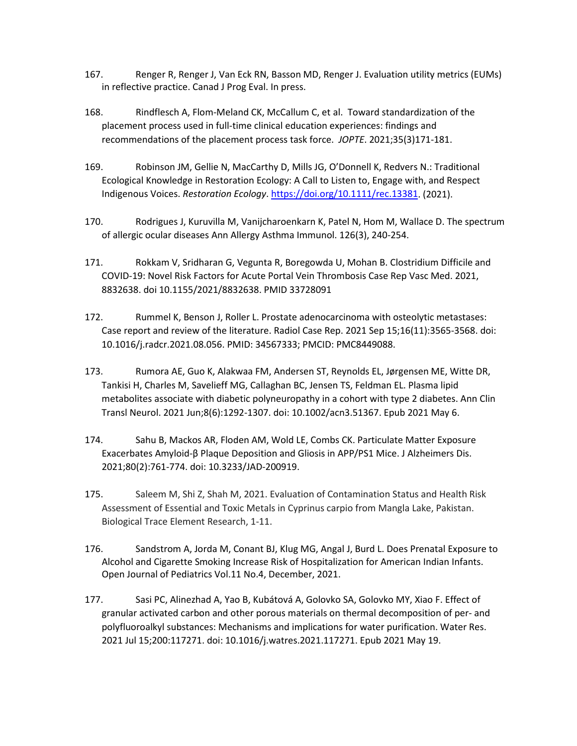- 167. Renger R, Renger J, Van Eck RN, Basson MD, Renger J. Evaluation utility metrics (EUMs) in reflective practice. Canad J Prog Eval. In press.
- 168. Rindflesch A, Flom-Meland CK, McCallum C, et al. Toward standardization of the placement process used in full-time clinical education experiences: findings and recommendations of the placement process task force. *JOPTE*. 2021;35(3)171-181.
- 169. Robinson JM, Gellie N, MacCarthy D, Mills JG, O'Donnell K, Redvers N.: Traditional Ecological Knowledge in Restoration Ecology: A Call to Listen to, Engage with, and Respect Indigenous Voices. *Restoration Ecology*. [https://doi.org/10.1111/rec.13381.](https://doi.org/10.1111/rec.13381) (2021).
- 170. Rodrigues J, Kuruvilla M, Vanijcharoenkarn K, Patel N, Hom M, Wallace D. The spectrum of allergic ocular diseases Ann Allergy Asthma Immunol. 126(3), 240-254.
- 171. Rokkam V, Sridharan G, Vegunta R, Boregowda U, Mohan B. Clostridium Difficile and COVID-19: Novel Risk Factors for Acute Portal Vein Thrombosis Case Rep Vasc Med. 2021, 8832638. doi 10.1155/2021/8832638. PMID 33728091
- 172. Rummel K, Benson J, Roller L. Prostate adenocarcinoma with osteolytic metastases: Case report and review of the literature. Radiol Case Rep. 2021 Sep 15;16(11):3565-3568. doi: 10.1016/j.radcr.2021.08.056. PMID: 34567333; PMCID: PMC8449088.
- 173. Rumora AE, Guo K, Alakwaa FM, Andersen ST, Reynolds EL, Jørgensen ME, Witte DR, Tankisi H, Charles M, Savelieff MG, Callaghan BC, Jensen TS, Feldman EL. Plasma lipid metabolites associate with diabetic polyneuropathy in a cohort with type 2 diabetes. Ann Clin Transl Neurol. 2021 Jun;8(6):1292-1307. doi: 10.1002/acn3.51367. Epub 2021 May 6.
- 174. Sahu B, Mackos AR, Floden AM, Wold LE, Combs CK. Particulate Matter Exposure Exacerbates Amyloid-β Plaque Deposition and Gliosis in APP/PS1 Mice. J Alzheimers Dis. 2021;80(2):761-774. doi: 10.3233/JAD-200919.
- 175. Saleem M, Shi Z, Shah M, 2021. Evaluation of Contamination Status and Health Risk Assessment of Essential and Toxic Metals in Cyprinus carpio from Mangla Lake, Pakistan. Biological Trace Element Research, 1-11.
- 176. Sandstrom A, Jorda M, Conant BJ, Klug MG, Angal J, Burd L. Does Prenatal Exposure to Alcohol and Cigarette Smoking Increase Risk of Hospitalization for American Indian Infants. Open Journal of Pediatrics Vol.11 No.4, December, 2021.
- 177. Sasi PC, Alinezhad A, Yao B, Kubátová A, Golovko SA, Golovko MY, Xiao F. Effect of granular activated carbon and other porous materials on thermal decomposition of per- and polyfluoroalkyl substances: Mechanisms and implications for water purification. Water Res. 2021 Jul 15;200:117271. doi: 10.1016/j.watres.2021.117271. Epub 2021 May 19.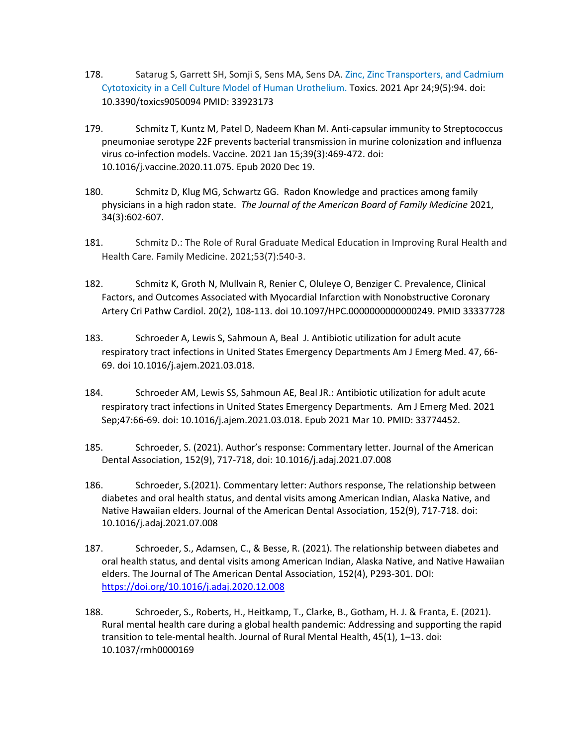- 178. Satarug S, Garrett SH, Somji S, Sens MA, Sens DA. Zinc, Zinc Transporters, and Cadmium Cytotoxicity in a Cell Culture Model of Human Urothelium. Toxics. 2021 Apr 24;9(5):94. doi: 10.3390/toxics9050094 PMID: 33923173
- 179. Schmitz T, Kuntz M, Patel D, Nadeem Khan M. Anti-capsular immunity to Streptococcus pneumoniae serotype 22F prevents bacterial transmission in murine colonization and influenza virus co-infection models. Vaccine. 2021 Jan 15;39(3):469-472. doi: 10.1016/j.vaccine.2020.11.075. Epub 2020 Dec 19.
- 180. Schmitz D, Klug MG, Schwartz GG. Radon Knowledge and practices among family physicians in a high radon state. *The Journal of the American Board of Family Medicine* 2021, 34(3):602-607.
- 181. Schmitz D.: The Role of Rural Graduate Medical Education in Improving Rural Health and Health Care. Family Medicine. 2021;53(7):540-3.
- 182. Schmitz K, Groth N, Mullvain R, Renier C, Oluleye O, Benziger C. Prevalence, Clinical Factors, and Outcomes Associated with Myocardial Infarction with Nonobstructive Coronary Artery Cri Pathw Cardiol. 20(2), 108-113. doi 10.1097/HPC.0000000000000249. PMID 33337728
- 183. Schroeder A, Lewis S, Sahmoun A, Beal J. Antibiotic utilization for adult acute respiratory tract infections in United States Emergency Departments Am J Emerg Med. 47, 66- 69. doi 10.1016/j.ajem.2021.03.018.
- 184. Schroeder AM, Lewis SS, Sahmoun AE, Beal JR.: Antibiotic utilization for adult acute respiratory tract infections in United States Emergency Departments. Am J Emerg Med. 2021 Sep;47:66-69. doi: 10.1016/j.ajem.2021.03.018. Epub 2021 Mar 10. PMID: 33774452.
- 185. Schroeder, S. (2021). Author's response: Commentary letter. Journal of the American Dental Association, 152(9), 717-718, doi: 10.1016/j.adaj.2021.07.008
- 186. Schroeder, S.(2021). Commentary letter: Authors response, The relationship between diabetes and oral health status, and dental visits among American Indian, Alaska Native, and Native Hawaiian elders. Journal of the American Dental Association, 152(9), 717-718. doi: 10.1016/j.adaj.2021.07.008
- 187. Schroeder, S., Adamsen, C., & Besse, R. (2021). The relationship between diabetes and oral health status, and dental visits among American Indian, Alaska Native, and Native Hawaiian elders. The Journal of The American Dental Association, 152(4), P293-301. DOI: <https://doi.org/10.1016/j.adaj.2020.12.008>
- 188. Schroeder, S., Roberts, H., Heitkamp, T., Clarke, B., Gotham, H. J. & Franta, E. (2021). Rural mental health care during a global health pandemic: Addressing and supporting the rapid transition to tele-mental health. Journal of Rural Mental Health, 45(1), 1–13. doi: 10.1037/rmh0000169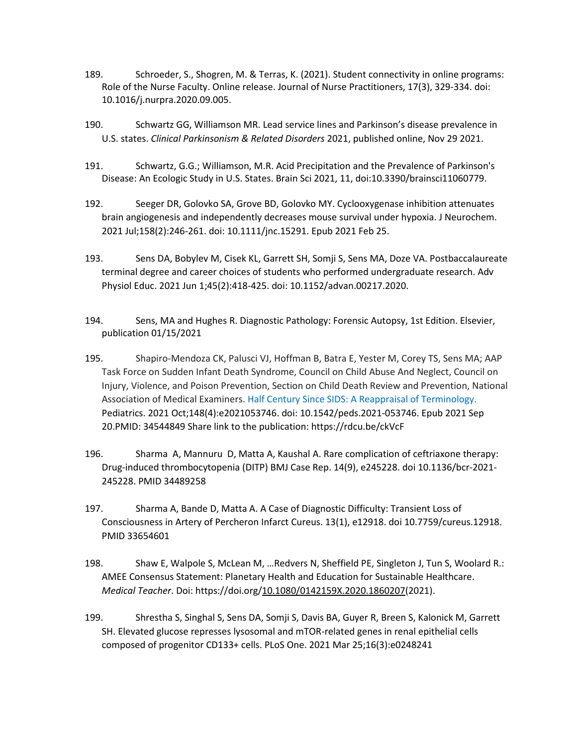- 189. Schroeder, S., Shogren, M. & Terras, K. (2021). Student connectivity in online programs: Role of the Nurse Faculty. Online release. Journal of Nurse Practitioners, 17(3), 329-334. doi: 10.1016/j.nurpra.2020.09.005.
- 190. Schwartz GG, Williamson MR. Lead service lines and Parkinson's disease prevalence in U.S. states. *Clinical Parkinsonism & Related Disorders* 2021, published online, Nov 29 2021.
- 191. Schwartz, G.G.; Williamson, M.R. Acid Precipitation and the Prevalence of Parkinson's Disease: An Ecologic Study in U.S. States. Brain Sci 2021, 11, doi:10.3390/brainsci11060779.
- 192. Seeger DR, Golovko SA, Grove BD, Golovko MY. Cyclooxygenase inhibition attenuates brain angiogenesis and independently decreases mouse survival under hypoxia. J Neurochem. 2021 Jul;158(2):246-261. doi: 10.1111/jnc.15291. Epub 2021 Feb 25.
- 193. Sens DA, Bobylev M, Cisek KL, Garrett SH, Somji S, Sens MA, Doze VA. Postbaccalaureate terminal degree and career choices of students who performed undergraduate research. Adv Physiol Educ. 2021 Jun 1;45(2):418-425. doi: 10.1152/advan.00217.2020.
- 194. Sens, MA and Hughes R. Diagnostic Pathology: Forensic Autopsy, 1st Edition. Elsevier, publication 01/15/2021
- 195. Shapiro-Mendoza CK, Palusci VJ, Hoffman B, Batra E, Yester M, Corey TS, Sens MA; AAP Task Force on Sudden Infant Death Syndrome, Council on Child Abuse And Neglect, Council on Injury, Violence, and Poison Prevention, Section on Child Death Review and Prevention, National Association of Medical Examiners. Half Century Since SIDS: A Reappraisal of Terminology. Pediatrics. 2021 Oct;148(4):e2021053746. doi: 10.1542/peds.2021-053746. Epub 2021 Sep 20.PMID: 34544849 Share link to the publication:<https://rdcu.be/ckVcF>
- 196. Sharma A, Mannuru D, Matta A, Kaushal A. Rare complication of ceftriaxone therapy: Drug-induced thrombocytopenia (DITP) BMJ Case Rep. 14(9), e245228. doi 10.1136/bcr-2021- 245228. PMID 34489258
- 197. Sharma A, Bande D, Matta A. A Case of Diagnostic Difficulty: Transient Loss of Consciousness in Artery of Percheron Infarct Cureus. 13(1), e12918. doi 10.7759/cureus.12918. PMID 33654601
- 198. Shaw E, Walpole S, McLean M, …Redvers N, Sheffield PE, Singleton J, Tun S, Woolard R.: AMEE Consensus Statement: Planetary Health and Education for Sustainable Healthcare. *Medical Teacher*. Doi: https://doi.org[/10.1080/0142159X.2020.1860207\(](https://doi.org/10.1080/0142159X.2020.1860207)2021).
- 199. Shrestha S, Singhal S, Sens DA, Somji S, Davis BA, Guyer R, Breen S, Kalonick M, Garrett SH. Elevated glucose represses lysosomal and mTOR-related genes in renal epithelial cells composed of progenitor CD133+ cells. PLoS One. 2021 Mar 25;16(3):e0248241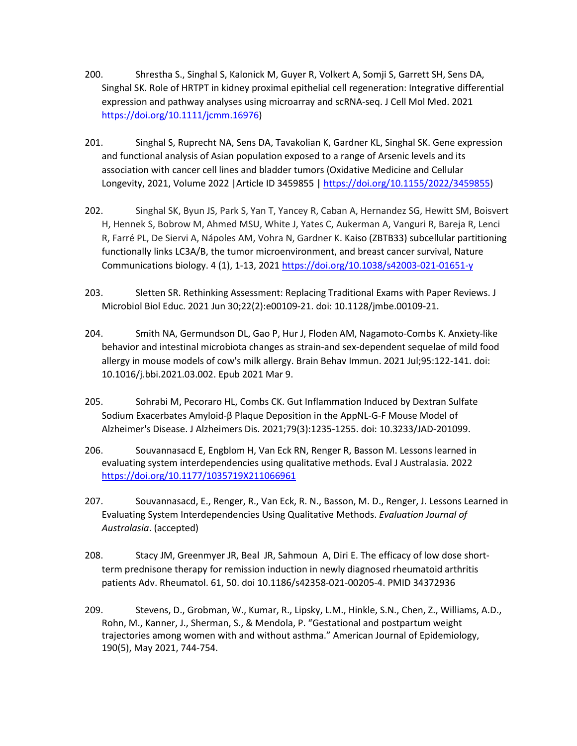- 200. Shrestha S., Singhal S, Kalonick M, Guyer R, Volkert A, Somji S, Garrett SH, Sens DA, Singhal SK. Role of HRTPT in kidney proximal epithelial cell regeneration: Integrative differential expression and pathway analyses using microarray and scRNA-seq. J Cell Mol Med. 2021 https://doi.org/10.1111/jcmm.16976)
- 201. Singhal S, Ruprecht NA, Sens DA, Tavakolian K, Gardner KL, Singhal SK. Gene expression and functional analysis of Asian population exposed to a range of Arsenic levels and its association with cancer cell lines and bladder tumors (Oxidative Medicine and Cellular Longevity, 2021, Volume 2022 |Article ID 3459855 | [https://doi.org/10.1155/2022/3459855\)](https://doi.org/10.1155/2022/3459855)
- 202. Singhal SK, Byun JS, Park S, Yan T, Yancey R, Caban A, Hernandez SG, Hewitt SM, Boisvert H, Hennek S, Bobrow M, Ahmed MSU, White J, Yates C, Aukerman A, Vanguri R, Bareja R, Lenci R, Farré PL, De Siervi A, Nápoles AM, Vohra N, Gardner K. Kaiso (ZBTB33) subcellular partitioning functionally links LC3A/B, the tumor microenvironment, and breast cancer survival, Nature Communications biology. 4 (1), 1-13, 2021<https://doi.org/10.1038/s42003-021-01651-y>
- 203. Sletten SR. Rethinking Assessment: Replacing Traditional Exams with Paper Reviews. J Microbiol Biol Educ. 2021 Jun 30;22(2):e00109-21. doi: 10.1128/jmbe.00109-21.
- 204. Smith NA, Germundson DL, Gao P, Hur J, Floden AM, Nagamoto-Combs K. Anxiety-like behavior and intestinal microbiota changes as strain-and sex-dependent sequelae of mild food allergy in mouse models of cow's milk allergy. Brain Behav Immun. 2021 Jul;95:122-141. doi: 10.1016/j.bbi.2021.03.002. Epub 2021 Mar 9.
- 205. Sohrabi M, Pecoraro HL, Combs CK. Gut Inflammation Induced by Dextran Sulfate Sodium Exacerbates Amyloid-β Plaque Deposition in the AppNL-G-F Mouse Model of Alzheimer's Disease. J Alzheimers Dis. 2021;79(3):1235-1255. doi: 10.3233/JAD-201099.
- 206. Souvannasacd E, Engblom H, Van Eck RN, Renger R, Basson M. Lessons learned in evaluating system interdependencies using qualitative methods. Eval J Australasia. 2022 <https://doi.org/10.1177/1035719X211066961>
- 207. Souvannasacd, E., Renger, R., Van Eck, R. N., Basson, M. D., Renger, J. Lessons Learned in Evaluating System Interdependencies Using Qualitative Methods. *Evaluation Journal of Australasia*. (accepted)
- 208. Stacy JM, Greenmyer JR, Beal JR, Sahmoun A, Diri E. The efficacy of low dose shortterm prednisone therapy for remission induction in newly diagnosed rheumatoid arthritis patients Adv. Rheumatol. 61, 50. doi 10.1186/s42358-021-00205-4. PMID 34372936
- 209. Stevens, D., Grobman, W., Kumar, R., Lipsky, L.M., Hinkle, S.N., Chen, Z., Williams, A.D., Rohn, M., Kanner, J., Sherman, S., & Mendola, P. "Gestational and postpartum weight trajectories among women with and without asthma." American Journal of Epidemiology, 190(5), May 2021, 744-754.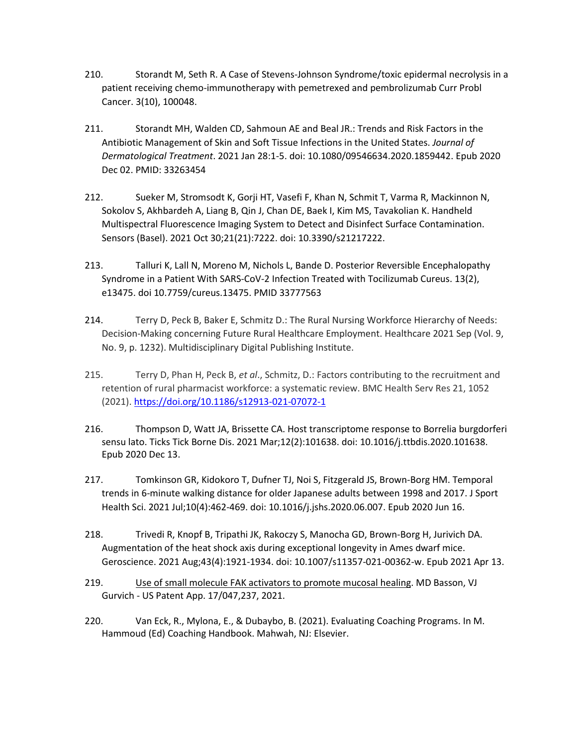- 210. Storandt M, Seth R. A Case of Stevens-Johnson Syndrome/toxic epidermal necrolysis in a patient receiving chemo-immunotherapy with pemetrexed and pembrolizumab Curr Probl Cancer. 3(10), 100048.
- 211. Storandt MH, Walden CD, Sahmoun AE and Beal JR.: Trends and Risk Factors in the Antibiotic Management of Skin and Soft Tissue Infections in the United States. *Journal of Dermatological Treatment*. 2021 Jan 28:1-5. doi: 10.1080/09546634.2020.1859442. Epub 2020 Dec 02. PMID: 33263454
- 212. Sueker M, Stromsodt K, Gorji HT, Vasefi F, Khan N, Schmit T, Varma R, Mackinnon N, Sokolov S, Akhbardeh A, Liang B, Qin J, Chan DE, Baek I, Kim MS, Tavakolian K. Handheld Multispectral Fluorescence Imaging System to Detect and Disinfect Surface Contamination. Sensors (Basel). 2021 Oct 30;21(21):7222. doi: 10.3390/s21217222.
- 213. Talluri K, Lall N, Moreno M, Nichols L, Bande D. Posterior Reversible Encephalopathy Syndrome in a Patient With SARS-CoV-2 Infection Treated with Tocilizumab Cureus. 13(2), e13475. doi 10.7759/cureus.13475. PMID 33777563
- 214. Terry D, Peck B, Baker E, Schmitz D.: The Rural Nursing Workforce Hierarchy of Needs: Decision-Making concerning Future Rural Healthcare Employment. Healthcare 2021 Sep (Vol. 9, No. 9, p. 1232). Multidisciplinary Digital Publishing Institute.
- 215. Terry D, Phan H, Peck B, *et al*., Schmitz, D.: Factors contributing to the recruitment and retention of rural pharmacist workforce: a systematic review. BMC Health Serv Res 21, 1052 (2021).<https://doi.org/10.1186/s12913-021-07072-1>
- 216. Thompson D, Watt JA, Brissette CA. Host transcriptome response to Borrelia burgdorferi sensu lato. Ticks Tick Borne Dis. 2021 Mar;12(2):101638. doi: 10.1016/j.ttbdis.2020.101638. Epub 2020 Dec 13.
- 217. Tomkinson GR, Kidokoro T, Dufner TJ, Noi S, Fitzgerald JS, Brown-Borg HM. Temporal trends in 6-minute walking distance for older Japanese adults between 1998 and 2017. J Sport Health Sci. 2021 Jul;10(4):462-469. doi: 10.1016/j.jshs.2020.06.007. Epub 2020 Jun 16.
- 218. Trivedi R, Knopf B, Tripathi JK, Rakoczy S, Manocha GD, Brown-Borg H, Jurivich DA. Augmentation of the heat shock axis during exceptional longevity in Ames dwarf mice. Geroscience. 2021 Aug;43(4):1921-1934. doi: 10.1007/s11357-021-00362-w. Epub 2021 Apr 13.
- 219. Use of small molecule FAK activators to promote mucosal healing. MD Basson, VJ Gurvich - US Patent App. 17/047,237, 2021.
- 220. Van Eck, R., Mylona, E., & Dubaybo, B. (2021). Evaluating Coaching Programs. In M. Hammoud (Ed) Coaching Handbook. Mahwah, NJ: Elsevier.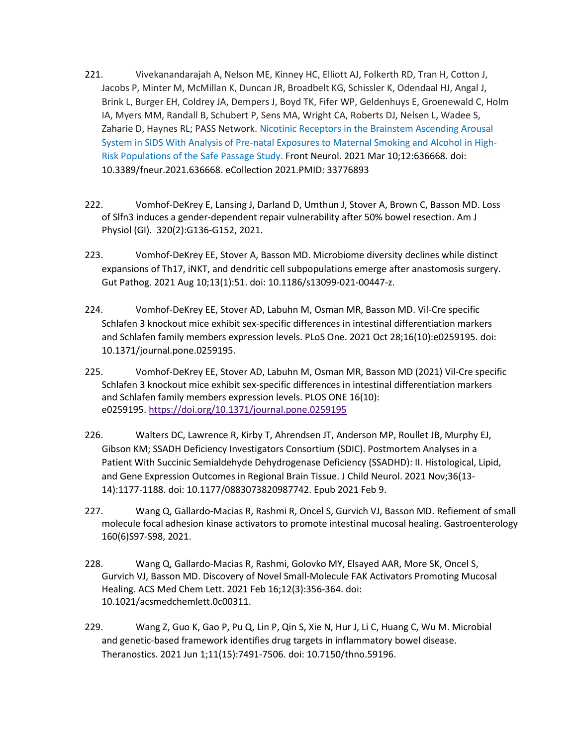- 221. Vivekanandarajah A, Nelson ME, Kinney HC, Elliott AJ, Folkerth RD, Tran H, Cotton J, Jacobs P, Minter M, McMillan K, Duncan JR, Broadbelt KG, Schissler K, Odendaal HJ, Angal J, Brink L, Burger EH, Coldrey JA, Dempers J, Boyd TK, Fifer WP, Geldenhuys E, Groenewald C, Holm IA, Myers MM, Randall B, Schubert P, Sens MA, Wright CA, Roberts DJ, Nelsen L, Wadee S, Zaharie D, Haynes RL; PASS Network. Nicotinic Receptors in the Brainstem Ascending Arousal System in SIDS With Analysis of Pre-natal Exposures to Maternal Smoking and Alcohol in High-Risk Populations of the Safe Passage Study. Front Neurol. 2021 Mar 10;12:636668. doi: 10.3389/fneur.2021.636668. eCollection 2021.PMID: 33776893
- 222. Vomhof-DeKrey E, Lansing J, Darland D, Umthun J, Stover A, Brown C, Basson MD. Loss of Slfn3 induces a gender-dependent repair vulnerability after 50% bowel resection. Am J Physiol (GI). 320(2):G136-G152, 2021.
- 223. Vomhof-DeKrey EE, Stover A, Basson MD. Microbiome diversity declines while distinct expansions of Th17, iNKT, and dendritic cell subpopulations emerge after anastomosis surgery. Gut Pathog. 2021 Aug 10;13(1):51. doi: 10.1186/s13099-021-00447-z.
- 224. Vomhof-DeKrey EE, Stover AD, Labuhn M, Osman MR, Basson MD. Vil-Cre specific Schlafen 3 knockout mice exhibit sex-specific differences in intestinal differentiation markers and Schlafen family members expression levels. PLoS One. 2021 Oct 28;16(10):e0259195. doi: 10.1371/journal.pone.0259195.
- 225. Vomhof-DeKrey EE, Stover AD, Labuhn M, Osman MR, Basson MD (2021) Vil-Cre specific Schlafen 3 knockout mice exhibit sex-specific differences in intestinal differentiation markers and Schlafen family members expression levels. PLOS ONE 16(10): e0259195. <https://doi.org/10.1371/journal.pone.0259195>
- 226. Walters DC, Lawrence R, Kirby T, Ahrendsen JT, Anderson MP, Roullet JB, Murphy EJ, Gibson KM; SSADH Deficiency Investigators Consortium (SDIC). Postmortem Analyses in a Patient With Succinic Semialdehyde Dehydrogenase Deficiency (SSADHD): II. Histological, Lipid, and Gene Expression Outcomes in Regional Brain Tissue. J Child Neurol. 2021 Nov;36(13- 14):1177-1188. doi: 10.1177/0883073820987742. Epub 2021 Feb 9.
- 227. Wang Q, Gallardo-Macias R, Rashmi R, Oncel S, Gurvich VJ, Basson MD. Refiement of small molecule focal adhesion kinase activators to promote intestinal mucosal healing. Gastroenterology 160(6)S97-S98, 2021.
- 228. Wang Q, Gallardo-Macias R, Rashmi, Golovko MY, Elsayed AAR, More SK, Oncel S, Gurvich VJ, Basson MD. Discovery of Novel Small-Molecule FAK Activators Promoting Mucosal Healing. ACS Med Chem Lett. 2021 Feb 16;12(3):356-364. doi: 10.1021/acsmedchemlett.0c00311.
- 229. Wang Z, Guo K, Gao P, Pu Q, Lin P, Qin S, Xie N, Hur J, Li C, Huang C, Wu M. Microbial and genetic-based framework identifies drug targets in inflammatory bowel disease. Theranostics. 2021 Jun 1;11(15):7491-7506. doi: 10.7150/thno.59196.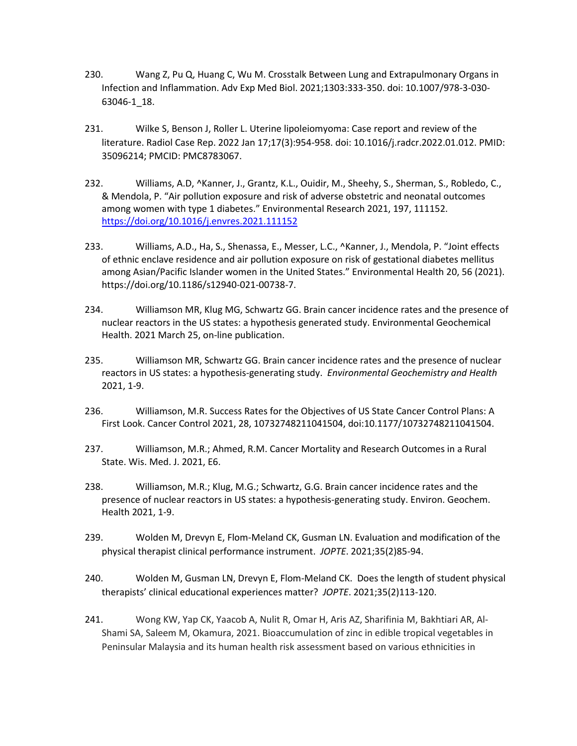- 230. Wang Z, Pu Q, Huang C, Wu M. Crosstalk Between Lung and Extrapulmonary Organs in Infection and Inflammation. Adv Exp Med Biol. 2021;1303:333-350. doi: 10.1007/978-3-030- 63046-1\_18.
- 231. Wilke S, Benson J, Roller L. Uterine lipoleiomyoma: Case report and review of the literature. Radiol Case Rep. 2022 Jan 17;17(3):954-958. doi: 10.1016/j.radcr.2022.01.012. PMID: 35096214; PMCID: PMC8783067.
- 232. Williams, A.D, ^Kanner, J., Grantz, K.L., Ouidir, M., Sheehy, S., Sherman, S., Robledo, C., & Mendola, P. "Air pollution exposure and risk of adverse obstetric and neonatal outcomes among women with type 1 diabetes." Environmental Research 2021, 197, 111152. <https://doi.org/10.1016/j.envres.2021.111152>
- 233. Williams, A.D., Ha, S., Shenassa, E., Messer, L.C., ^Kanner, J., Mendola, P. "Joint effects of ethnic enclave residence and air pollution exposure on risk of gestational diabetes mellitus among Asian/Pacific Islander women in the United States." Environmental Health 20, 56 (2021). https://doi.org/10.1186/s12940-021-00738-7.
- 234. Williamson MR, Klug MG, Schwartz GG. Brain cancer incidence rates and the presence of nuclear reactors in the US states: a hypothesis generated study. Environmental Geochemical Health. 2021 March 25, on-line publication.
- 235. Williamson MR, Schwartz GG. Brain cancer incidence rates and the presence of nuclear reactors in US states: a hypothesis-generating study. *Environmental Geochemistry and Health* 2021, 1-9.
- 236. Williamson, M.R. Success Rates for the Objectives of US State Cancer Control Plans: A First Look. Cancer Control 2021, 28, 10732748211041504, doi:10.1177/10732748211041504.
- 237. Williamson, M.R.; Ahmed, R.M. Cancer Mortality and Research Outcomes in a Rural State. Wis. Med. J. 2021, E6.
- 238. Williamson, M.R.; Klug, M.G.; Schwartz, G.G. Brain cancer incidence rates and the presence of nuclear reactors in US states: a hypothesis-generating study. Environ. Geochem. Health 2021, 1-9.
- 239. Wolden M, Drevyn E, Flom-Meland CK, Gusman LN. Evaluation and modification of the physical therapist clinical performance instrument. *JOPTE*. 2021;35(2)85-94.
- 240. Wolden M, Gusman LN, Drevyn E, Flom-Meland CK. Does the length of student physical therapists' clinical educational experiences matter? *JOPTE*. 2021;35(2)113-120.
- 241. Wong KW, Yap CK, Yaacob A, Nulit R, Omar H, Aris AZ, Sharifinia M, Bakhtiari AR, Al-Shami SA, Saleem M, Okamura, 2021. Bioaccumulation of zinc in edible tropical vegetables in Peninsular Malaysia and its human health risk assessment based on various ethnicities in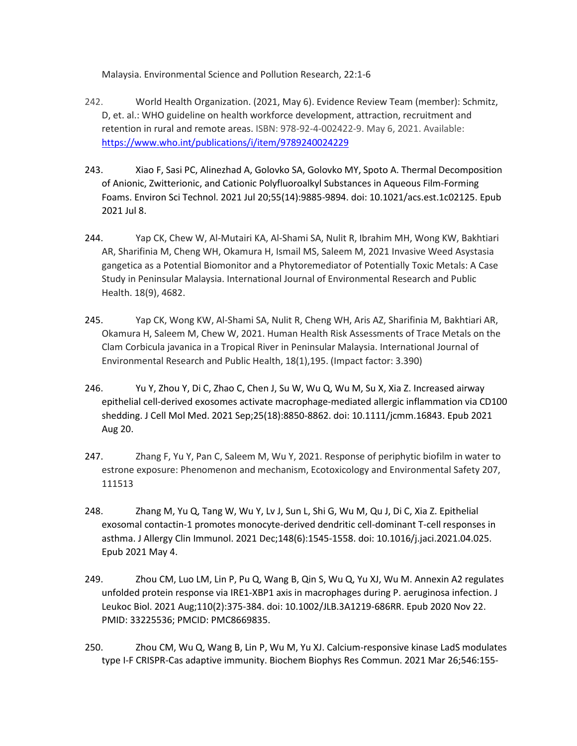Malaysia. Environmental Science and Pollution Research, 22:1-6

- 242. World Health Organization. (2021, May 6). Evidence Review Team (member): Schmitz, D, et. al.: WHO guideline on health workforce development, attraction, recruitment and retention in rural and remote areas. ISBN: 978-92-4-002422-9. May 6, 2021. Available: <https://www.who.int/publications/i/item/9789240024229>
- 243. Xiao F, Sasi PC, Alinezhad A, Golovko SA, Golovko MY, Spoto A. Thermal Decomposition of Anionic, Zwitterionic, and Cationic Polyfluoroalkyl Substances in Aqueous Film-Forming Foams. Environ Sci Technol. 2021 Jul 20;55(14):9885-9894. doi: 10.1021/acs.est.1c02125. Epub 2021 Jul 8.
- 244. Yap CK, Chew W, Al-Mutairi KA, Al-Shami SA, Nulit R, Ibrahim MH, Wong KW, Bakhtiari AR, Sharifinia M, Cheng WH, Okamura H, Ismail MS, Saleem M, 2021 Invasive Weed Asystasia gangetica as a Potential Biomonitor and a Phytoremediator of Potentially Toxic Metals: A Case Study in Peninsular Malaysia. International Journal of Environmental Research and Public Health. 18(9), 4682.
- 245. Yap CK, Wong KW, Al-Shami SA, Nulit R, Cheng WH, Aris AZ, Sharifinia M, Bakhtiari AR, Okamura H, Saleem M, Chew W, 2021. Human Health Risk Assessments of Trace Metals on the Clam Corbicula javanica in a Tropical River in Peninsular Malaysia. International Journal of Environmental Research and Public Health, 18(1),195. (Impact factor: 3.390)
- 246. Yu Y, Zhou Y, Di C, Zhao C, Chen J, Su W, Wu Q, Wu M, Su X, Xia Z. Increased airway epithelial cell-derived exosomes activate macrophage-mediated allergic inflammation via CD100 shedding. J Cell Mol Med. 2021 Sep;25(18):8850-8862. doi: 10.1111/jcmm.16843. Epub 2021 Aug 20.
- 247. Zhang F, Yu Y, Pan C, Saleem M, Wu Y, 2021. Response of periphytic biofilm in water to estrone exposure: Phenomenon and mechanism, Ecotoxicology and Environmental Safety 207, 111513
- 248. Zhang M, Yu Q, Tang W, Wu Y, Lv J, Sun L, Shi G, Wu M, Qu J, Di C, Xia Z. Epithelial exosomal contactin-1 promotes monocyte-derived dendritic cell-dominant T-cell responses in asthma. J Allergy Clin Immunol. 2021 Dec;148(6):1545-1558. doi: 10.1016/j.jaci.2021.04.025. Epub 2021 May 4.
- 249. Zhou CM, Luo LM, Lin P, Pu Q, Wang B, Qin S, Wu Q, Yu XJ, Wu M. Annexin A2 regulates unfolded protein response via IRE1-XBP1 axis in macrophages during P. aeruginosa infection. J Leukoc Biol. 2021 Aug;110(2):375-384. doi: 10.1002/JLB.3A1219-686RR. Epub 2020 Nov 22. PMID: 33225536; PMCID: PMC8669835.
- 250. Zhou CM, Wu Q, Wang B, Lin P, Wu M, Yu XJ. Calcium-responsive kinase LadS modulates type I-F CRISPR-Cas adaptive immunity. Biochem Biophys Res Commun. 2021 Mar 26;546:155-